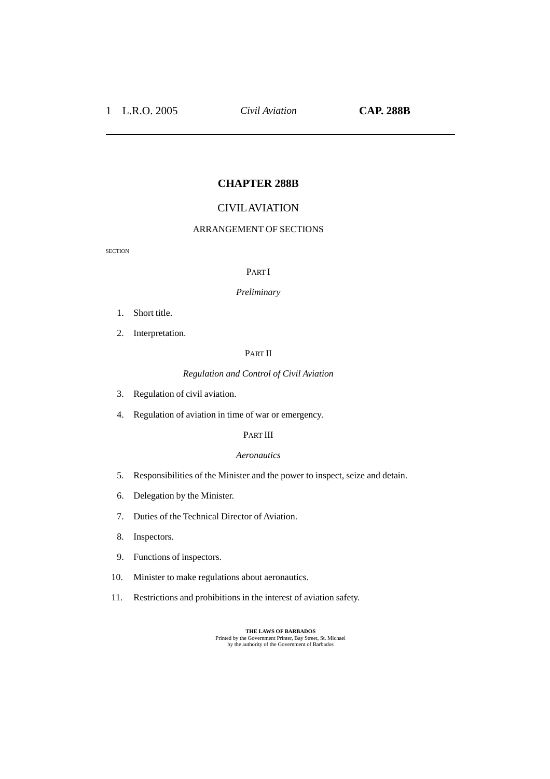# **CHAPTER 288B**

## CIVIL AVIATION

### ARRANGEMENT OF SECTIONS

**SECTION** 

#### PART I

#### *Preliminary*

- 1. Short title.
- 2. Interpretation.

### PART II

#### *Regulation and Control of Civil Aviation*

- 3. Regulation of civil aviation.
- 4. Regulation of aviation in time of war or emergency.

## PART III

#### *Aeronautics*

- 5. Responsibilities of the Minister and the power to inspect, seize and detain.
- 6. Delegation by the Minister.
- 7. Duties of the Technical Director of Aviation.
- 8. Inspectors.
- 9. Functions of inspectors.
- 10. Minister to make regulations about aeronautics.
- 11. Restrictions and prohibitions in the interest of aviation safety.

**THE LAWS OF BARBADOS**<br>
Printed by the Government Printer, Bay Street, St. Michael<br>
by the authority of the Government of Barbados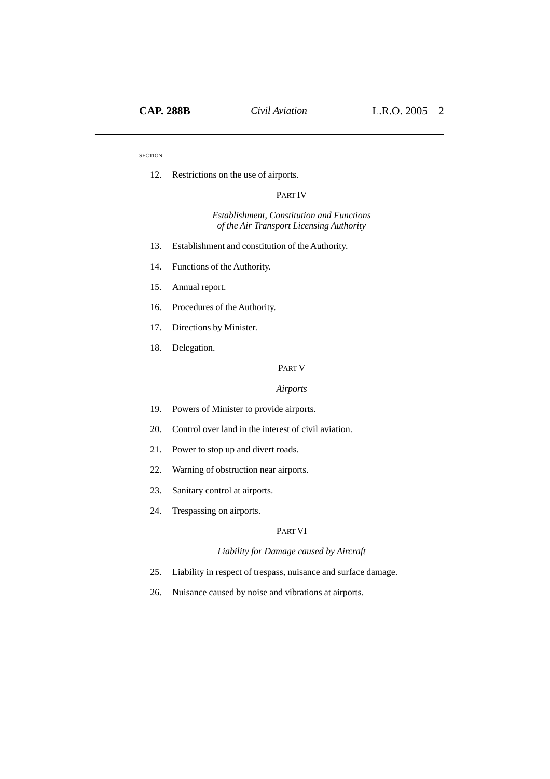12. Restrictions on the use of airports.

#### PART IV

### *Establishment, Constitution and Functions of the Air Transport Licensing Authority*

- 13. Establishment and constitution of the Authority.
- 14. Functions of the Authority.
- 15. Annual report.
- 16. Procedures of the Authority.
- 17. Directions by Minister.
- 18. Delegation.

#### PART V

#### *Airports*

- 19. Powers of Minister to provide airports.
- 20. Control over land in the interest of civil aviation.
- 21. Power to stop up and divert roads.
- 22. Warning of obstruction near airports.
- 23. Sanitary control at airports.
- 24. Trespassing on airports.

## PART VI

## *Liability for Damage caused by Aircraft*

- 25. Liability in respect of trespass, nuisance and surface damage.
- 26. Nuisance caused by noise and vibrations at airports.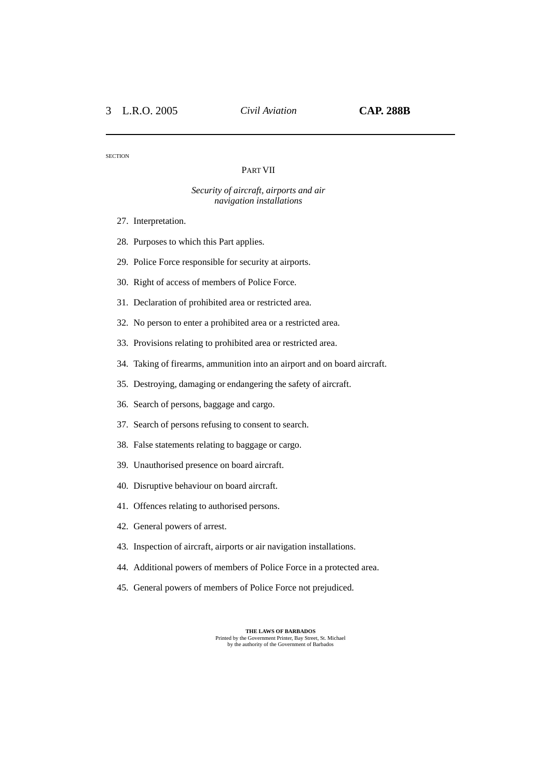### PART VII

#### *Security of aircraft, airports and air navigation installations*

- 27. Interpretation.
- 28. Purposes to which this Part applies.
- 29. Police Force responsible for security at airports.
- 30. Right of access of members of Police Force.
- 31. Declaration of prohibited area or restricted area.
- 32. No person to enter a prohibited area or a restricted area.
- 33. Provisions relating to prohibited area or restricted area.
- 34. Taking of firearms, ammunition into an airport and on board aircraft.
- 35. Destroying, damaging or endangering the safety of aircraft.
- 36. Search of persons, baggage and cargo.
- 37. Search of persons refusing to consent to search.
- 38. False statements relating to baggage or cargo.
- 39. Unauthorised presence on board aircraft.
- 40. Disruptive behaviour on board aircraft.
- 41. Offences relating to authorised persons.
- 42. General powers of arrest.
- 43. Inspection of aircraft, airports or air navigation installations.
- 44. Additional powers of members of Police Force in a protected area.
- 45. General powers of members of Police Force not prejudiced.

**THE LAWS OF BARBADOS** Printed by the Government Printer, Bay Street, St. Michael by the authority of the Government of Barbados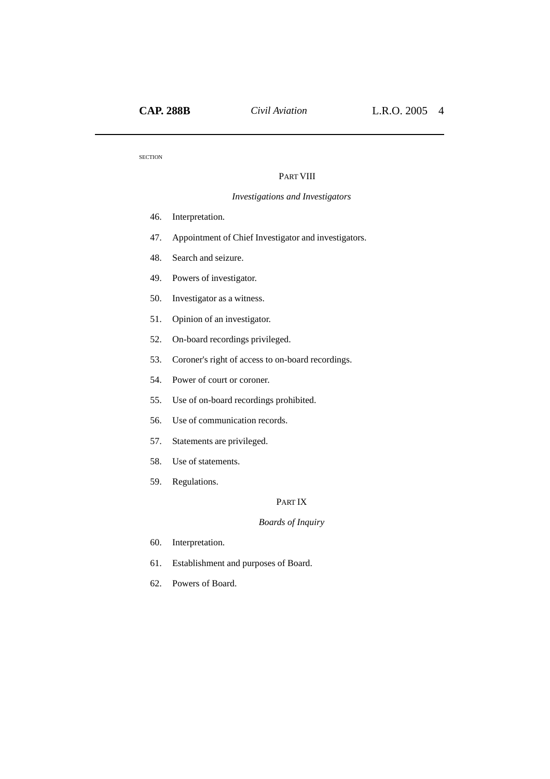### PART VIII

### *Investigations and Investigators*

- 46. Interpretation.
- 47. Appointment of Chief Investigator and investigators.
- 48. Search and seizure.
- 49. Powers of investigator.
- 50. Investigator as a witness.
- 51. Opinion of an investigator.
- 52. On-board recordings privileged.
- 53. Coroner's right of access to on-board recordings.
- 54. Power of court or coroner.
- 55. Use of on-board recordings prohibited.
- 56. Use of communication records.
- 57. Statements are privileged.
- 58. Use of statements.
- 59. Regulations.

## PART IX

### *Boards of Inquiry*

- 60. Interpretation.
- 61. Establishment and purposes of Board.
- 62. Powers of Board.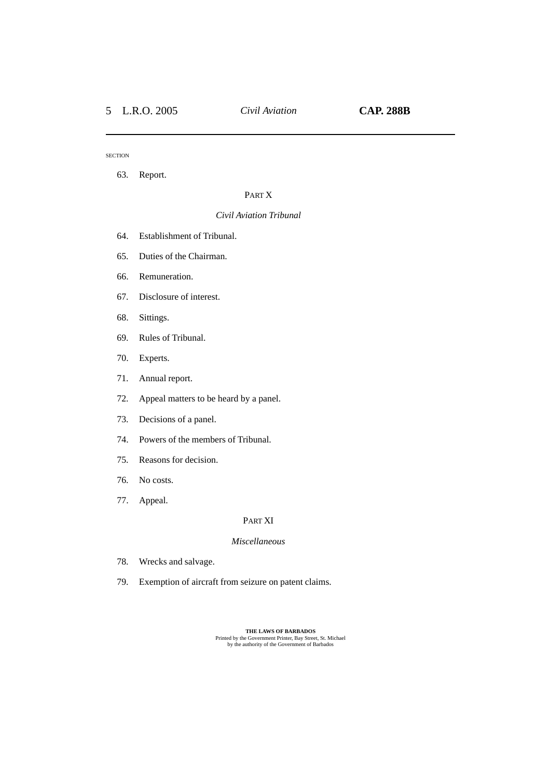63. Report.

#### PART X

#### *Civil Aviation Tribunal*

- 64. Establishment of Tribunal.
- 65. Duties of the Chairman.
- 66. Remuneration.
- 67. Disclosure of interest.
- 68. Sittings.
- 69. Rules of Tribunal.
- 70. Experts.
- 71. Annual report.
- 72. Appeal matters to be heard by a panel.
- 73. Decisions of a panel.
- 74. Powers of the members of Tribunal.
- 75. Reasons for decision.
- 76. No costs.
- 77. Appeal.

#### PART XI

## *Miscellaneous*

- 78. Wrecks and salvage.
- 79. Exemption of aircraft from seizure on patent claims.

**THE LAWS OF BARBADOS**<br>
Printed by the Government Printer, Bay Street, St. Michael<br>
by the authority of the Government of Barbados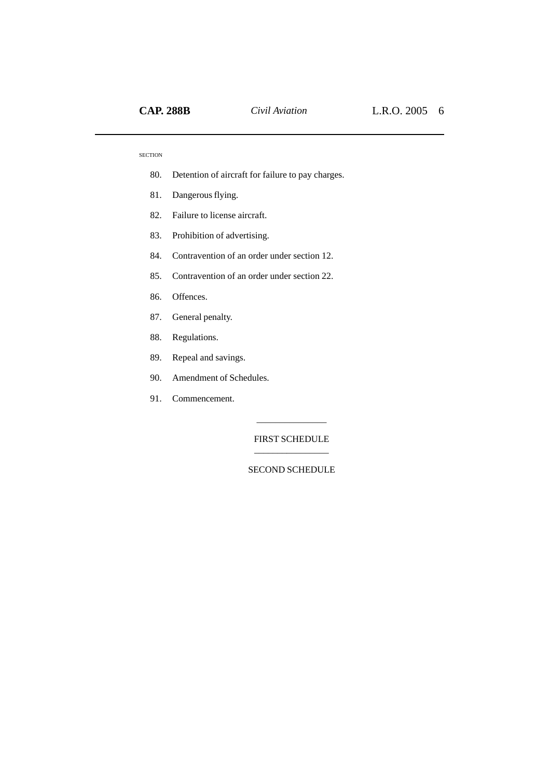- 80. Detention of aircraft for failure to pay charges.
- 81. Dangerous flying.
- 82. Failure to license aircraft.
- 83. Prohibition of advertising.
- 84. Contravention of an order under section 12.
- 85. Contravention of an order under section 22.
- 86. Offences.
- 87. General penalty.
- 88. Regulations.
- 89. Repeal and savings.
- 90. Amendment of Schedules.
- 91. Commencement.

FIRST SCHEDULE \_\_\_\_\_\_\_\_\_\_\_\_\_\_\_\_

\_\_\_\_\_\_\_\_\_\_\_\_\_\_\_

SECOND SCHEDULE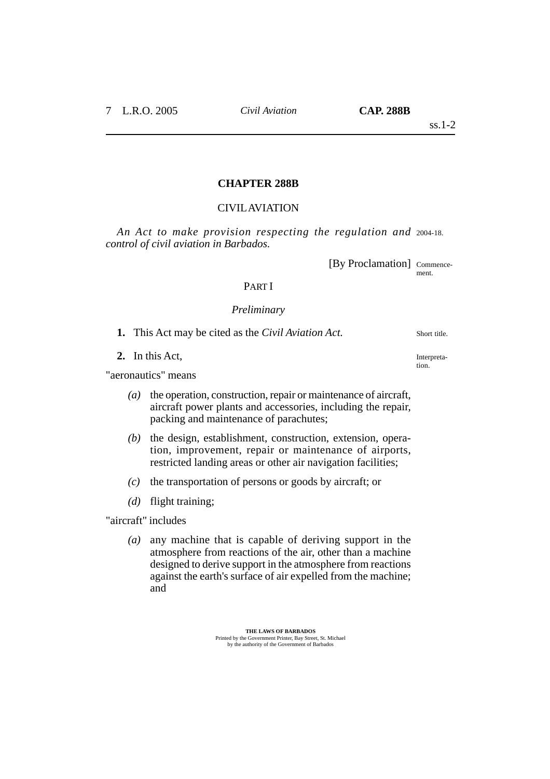## **CHAPTER 288B**

## CIVIL AVIATION

*An Act to make provision respecting the regulation and* 2004-18. *control of civil aviation in Barbados.*

[By Proclamation] Commence-

ment.

## PART I

## *Preliminary*

**1.** This Act may be cited as the *Civil Aviation Act*.

**2.** In this Act,

"aeronautics" means

- *(a)* the operation, construction, repair or maintenance of aircraft, aircraft power plants and accessories, including the repair, packing and maintenance of parachutes;
- *(b)* the design, establishment, construction, extension, operation, improvement, repair or maintenance of airports, restricted landing areas or other air navigation facilities;
- *(c)* the transportation of persons or goods by aircraft; or
- *(d)* flight training;

"aircraft" includes

*(a)* any machine that is capable of deriving support in the atmosphere from reactions of the air, other than a machine designed to derive support in the atmosphere from reactions against the earth's surface of air expelled from the machine; and

Short title.

Interpretation.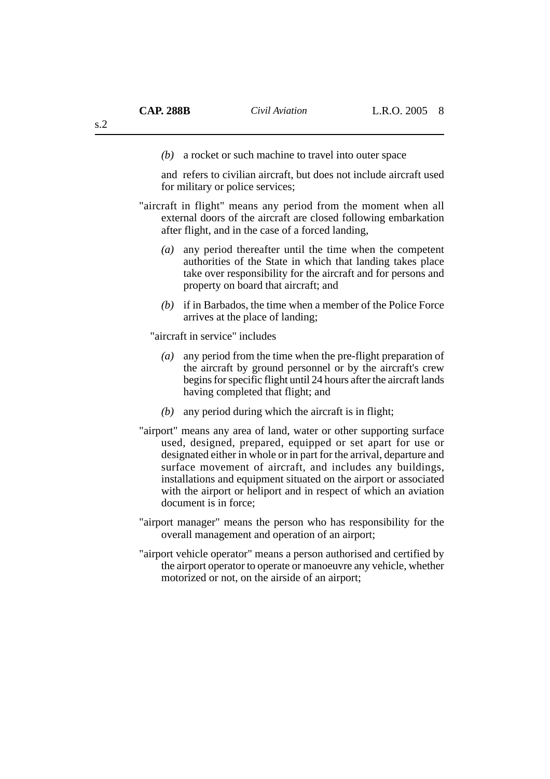*(b)* a rocket or such machine to travel into outer space

and refers to civilian aircraft, but does not include aircraft used for military or police services;

- "aircraft in flight" means any period from the moment when all external doors of the aircraft are closed following embarkation after flight, and in the case of a forced landing,
	- *(a)* any period thereafter until the time when the competent authorities of the State in which that landing takes place take over responsibility for the aircraft and for persons and property on board that aircraft; and
	- *(b)* if in Barbados, the time when a member of the Police Force arrives at the place of landing;

"aircraft in service" includes

- *(a)* any period from the time when the pre-flight preparation of the aircraft by ground personnel or by the aircraft's crew begins for specific flight until 24 hours after the aircraft lands having completed that flight; and
- *(b)* any period during which the aircraft is in flight;
- "airport" means any area of land, water or other supporting surface used, designed, prepared, equipped or set apart for use or designated either in whole or in part for the arrival, departure and surface movement of aircraft, and includes any buildings, installations and equipment situated on the airport or associated with the airport or heliport and in respect of which an aviation document is in force;
- "airport manager" means the person who has responsibility for the overall management and operation of an airport;
- "airport vehicle operator" means a person authorised and certified by the airport operator to operate or manoeuvre any vehicle, whether motorized or not, on the airside of an airport;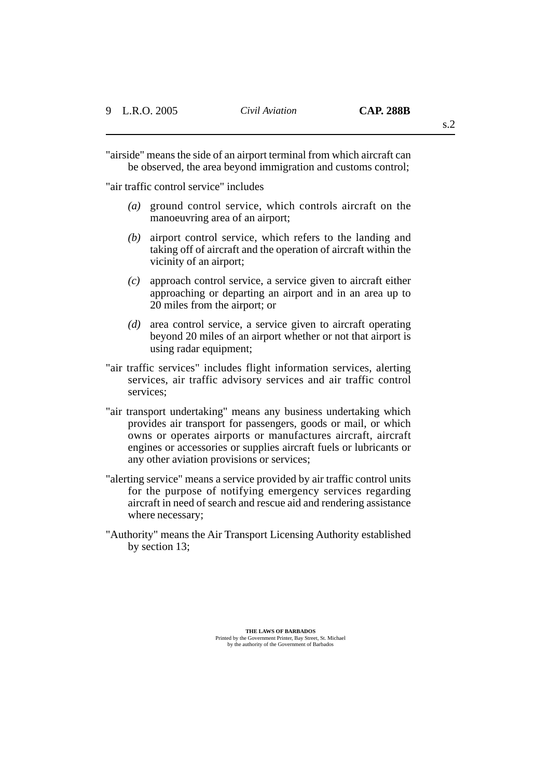"airside" means the side of an airport terminal from which aircraft can be observed, the area beyond immigration and customs control;

"air traffic control service" includes

- *(a)* ground control service, which controls aircraft on the manoeuvring area of an airport;
- *(b)* airport control service, which refers to the landing and taking off of aircraft and the operation of aircraft within the vicinity of an airport;
- *(c)* approach control service, a service given to aircraft either approaching or departing an airport and in an area up to 20 miles from the airport; or
- *(d)* area control service, a service given to aircraft operating beyond 20 miles of an airport whether or not that airport is using radar equipment;
- "air traffic services" includes flight information services, alerting services, air traffic advisory services and air traffic control services;
- "air transport undertaking" means any business undertaking which provides air transport for passengers, goods or mail, or which owns or operates airports or manufactures aircraft, aircraft engines or accessories or supplies aircraft fuels or lubricants or any other aviation provisions or services;
- "alerting service" means a service provided by air traffic control units for the purpose of notifying emergency services regarding aircraft in need of search and rescue aid and rendering assistance where necessary;
- "Authority" means the Air Transport Licensing Authority established by section 13;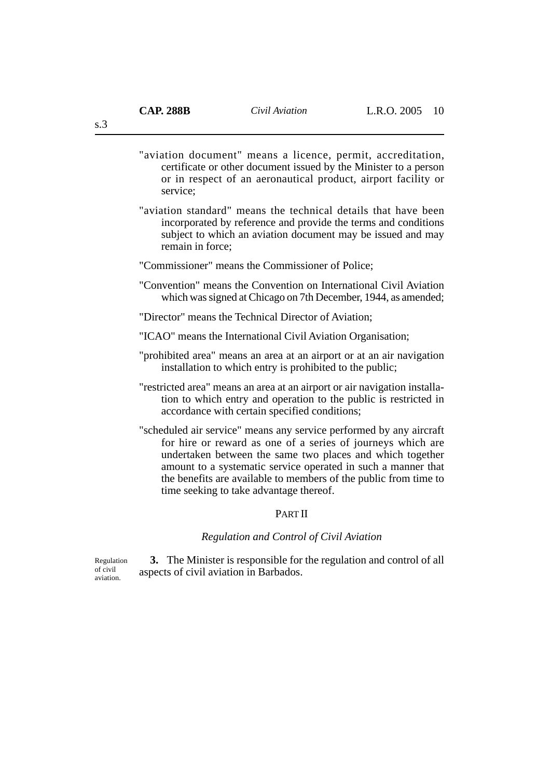"aviation document" means a licence, permit, accreditation, certificate or other document issued by the Minister to a person or in respect of an aeronautical product, airport facility or service;

- "aviation standard" means the technical details that have been incorporated by reference and provide the terms and conditions subject to which an aviation document may be issued and may remain in force;
- "Commissioner" means the Commissioner of Police;
- "Convention" means the Convention on International Civil Aviation which was signed at Chicago on 7th December, 1944, as amended;

"Director" means the Technical Director of Aviation;

- "ICAO" means the International Civil Aviation Organisation;
- "prohibited area" means an area at an airport or at an air navigation installation to which entry is prohibited to the public;
- "restricted area" means an area at an airport or air navigation installation to which entry and operation to the public is restricted in accordance with certain specified conditions;
- "scheduled air service" means any service performed by any aircraft for hire or reward as one of a series of journeys which are undertaken between the same two places and which together amount to a systematic service operated in such a manner that the benefits are available to members of the public from time to time seeking to take advantage thereof.

## PART II

*Regulation and Control of Civil Aviation*

**3.** The Minister is responsible for the regulation and control of all aspects of civil aviation in Barbados. Regulation

of civil aviation.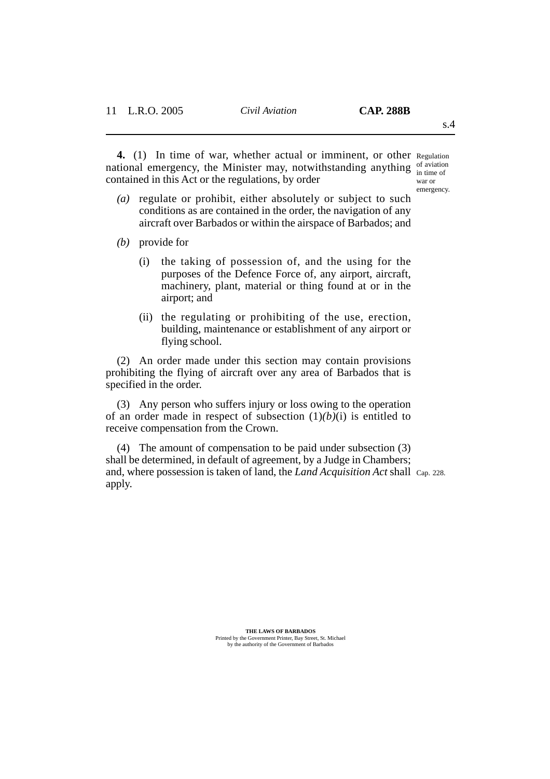4. (1) In time of war, whether actual or imminent, or other Regulation national emergency, the Minister may, notwithstanding anything  $\frac{1}{2}$  in time of contained in this Act or the regulations, by order

in time of war or emergency.

- *(a)* regulate or prohibit, either absolutely or subject to such conditions as are contained in the order, the navigation of any aircraft over Barbados or within the airspace of Barbados; and
- *(b)* provide for
	- (i) the taking of possession of, and the using for the purposes of the Defence Force of, any airport, aircraft, machinery, plant, material or thing found at or in the airport; and
	- (ii) the regulating or prohibiting of the use, erection, building, maintenance or establishment of any airport or flying school.

(2) An order made under this section may contain provisions prohibiting the flying of aircraft over any area of Barbados that is specified in the order.

(3) Any person who suffers injury or loss owing to the operation of an order made in respect of subsection  $(1)(b)(i)$  is entitled to receive compensation from the Crown.

(4) The amount of compensation to be paid under subsection (3) shall be determined, in default of agreement, by a Judge in Chambers; and, where possession is taken of land, the *Land Acquisition Act* shall Cap. 228. apply.

**THE LAWS OF BARBADOS** Printed by the Government Printer, Bay Street, St. Michael by the authority of the Government of Barbados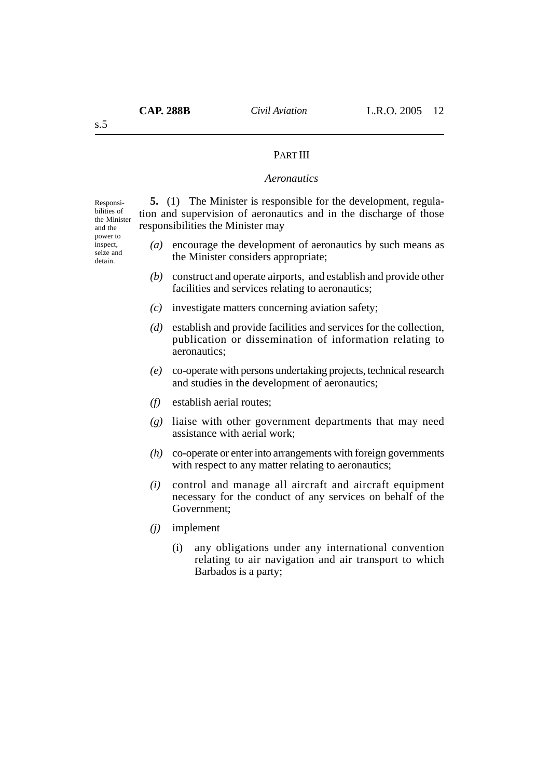### PART III

### *Aeronautics*

Responsibilities of the Minister and the power to inspect, seize and detain.

**5.** (1) The Minister is responsible for the development, regulation and supervision of aeronautics and in the discharge of those responsibilities the Minister may

- *(a)* encourage the development of aeronautics by such means as the Minister considers appropriate;
- *(b)* construct and operate airports, and establish and provide other facilities and services relating to aeronautics;
- *(c)* investigate matters concerning aviation safety;
- *(d)* establish and provide facilities and services for the collection, publication or dissemination of information relating to aeronautics;
- *(e)* co-operate with persons undertaking projects, technical research and studies in the development of aeronautics;
- *(f)* establish aerial routes;
- *(g)* liaise with other government departments that may need assistance with aerial work;
- *(h)* co-operate or enter into arrangements with foreign governments with respect to any matter relating to aeronautics;
- *(i)* control and manage all aircraft and aircraft equipment necessary for the conduct of any services on behalf of the Government;
- *(j)* implement
	- (i) any obligations under any international convention relating to air navigation and air transport to which Barbados is a party;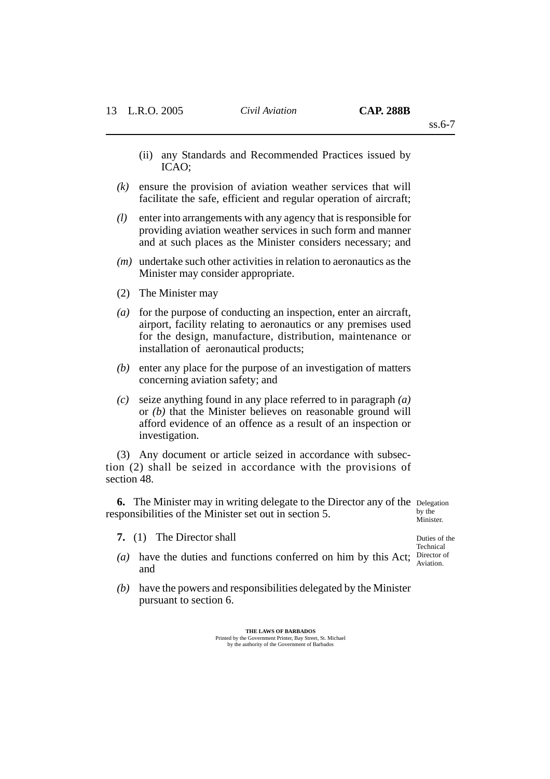- (ii) any Standards and Recommended Practices issued by ICAO;
- *(k)* ensure the provision of aviation weather services that will facilitate the safe, efficient and regular operation of aircraft;
- *(l)* enter into arrangements with any agency that is responsible for providing aviation weather services in such form and manner and at such places as the Minister considers necessary; and
- *(m)* undertake such other activities in relation to aeronautics as the Minister may consider appropriate.
- (2) The Minister may
- *(a)* for the purpose of conducting an inspection, enter an aircraft, airport, facility relating to aeronautics or any premises used for the design, manufacture, distribution, maintenance or installation of aeronautical products;
- *(b)* enter any place for the purpose of an investigation of matters concerning aviation safety; and
- *(c)* seize anything found in any place referred to in paragraph *(a)* or *(b)* that the Minister believes on reasonable ground will afford evidence of an offence as a result of an inspection or investigation.

(3) Any document or article seized in accordance with subsection (2) shall be seized in accordance with the provisions of section 48.

**6.** The Minister may in writing delegate to the Director any of the Delegation responsibilities of the Minister set out in section 5. by the

**7.** (1) The Director shall

Minister.

- (a) have the duties and functions conferred on him by this Act; Director of and
- *(b)* have the powers and responsibilities delegated by the Minister pursuant to section 6.

**THE LAWS OF BARBADOS** Printed by the Government Printer, Bay Street, St. Michael by the authority of the Government of Barbados Duties of the Technical Aviation.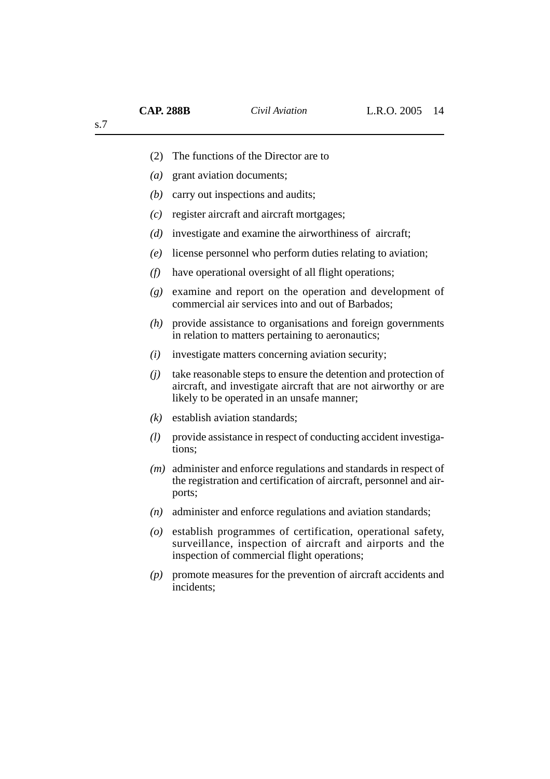|  |  | (2) The functions of the Director are to |  |  |  |  |
|--|--|------------------------------------------|--|--|--|--|
|--|--|------------------------------------------|--|--|--|--|

- *(a)* grant aviation documents;
- *(b)* carry out inspections and audits;
- *(c)* register aircraft and aircraft mortgages;
- *(d)* investigate and examine the airworthiness of aircraft;
- *(e)* license personnel who perform duties relating to aviation;
- *(f)* have operational oversight of all flight operations;
- *(g)* examine and report on the operation and development of commercial air services into and out of Barbados;
- *(h)* provide assistance to organisations and foreign governments in relation to matters pertaining to aeronautics;
- *(i)* investigate matters concerning aviation security;
- *(j)* take reasonable steps to ensure the detention and protection of aircraft, and investigate aircraft that are not airworthy or are likely to be operated in an unsafe manner;
- *(k)* establish aviation standards;
- *(l)* provide assistance in respect of conducting accident investigations;
- *(m)* administer and enforce regulations and standards in respect of the registration and certification of aircraft, personnel and airports;
- *(n)* administer and enforce regulations and aviation standards;
- *(o)* establish programmes of certification, operational safety, surveillance, inspection of aircraft and airports and the inspection of commercial flight operations;
- *(p)* promote measures for the prevention of aircraft accidents and incidents: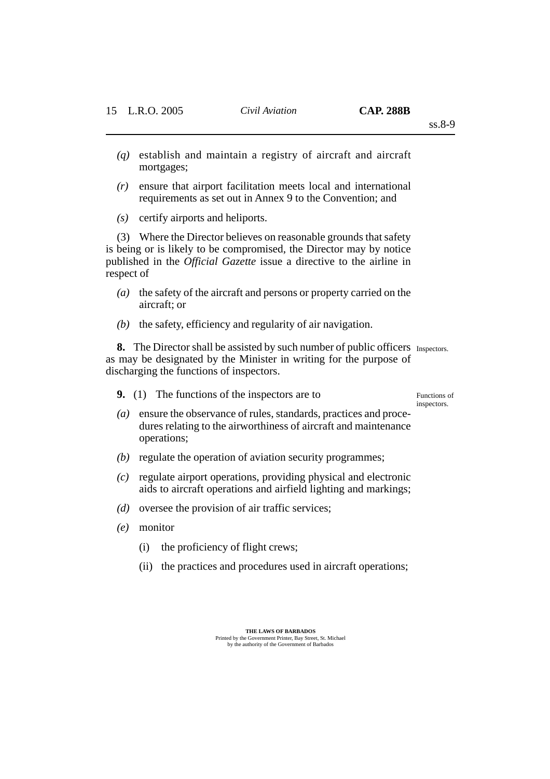ss.8-9

- *(q)* establish and maintain a registry of aircraft and aircraft mortgages;
- *(r)* ensure that airport facilitation meets local and international requirements as set out in Annex 9 to the Convention; and
- *(s)* certify airports and heliports.

(3) Where the Director believes on reasonable grounds that safety is being or is likely to be compromised, the Director may by notice published in the *Official Gazette* issue a directive to the airline in respect of

- *(a)* the safety of the aircraft and persons or property carried on the aircraft; or
- *(b)* the safety, efficiency and regularity of air navigation.

**8.** The Director shall be assisted by such number of public officers Inspectors. as may be designated by the Minister in writing for the purpose of discharging the functions of inspectors.

**9.** (1) The functions of the inspectors are to

Functions of inspectors.

- *(a)* ensure the observance of rules, standards, practices and procedures relating to the airworthiness of aircraft and maintenance operations;
- *(b)* regulate the operation of aviation security programmes;
- *(c)* regulate airport operations, providing physical and electronic aids to aircraft operations and airfield lighting and markings;
- *(d)* oversee the provision of air traffic services;
- *(e)* monitor
	- (i) the proficiency of flight crews;
	- (ii) the practices and procedures used in aircraft operations;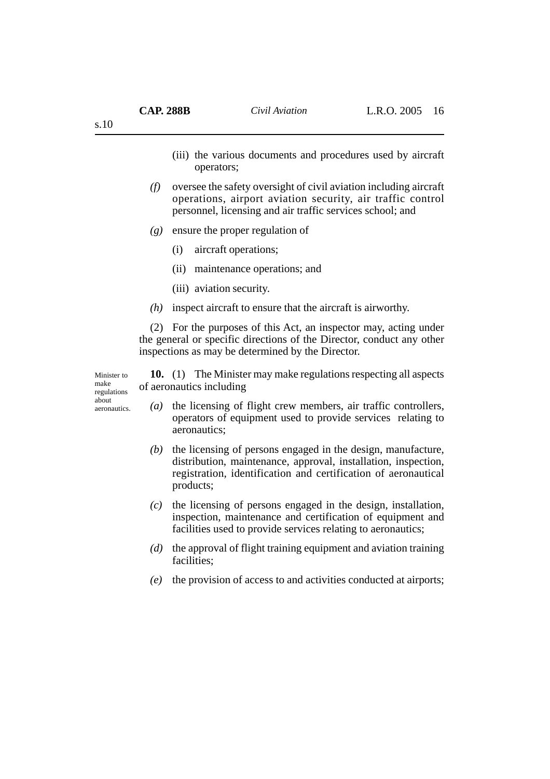- (iii) the various documents and procedures used by aircraft operators;
- *(f)* oversee the safety oversight of civil aviation including aircraft operations, airport aviation security, air traffic control personnel, licensing and air traffic services school; and
- *(g)* ensure the proper regulation of
	- (i) aircraft operations;
	- (ii) maintenance operations; and
	- (iii) aviation security.
- *(h)* inspect aircraft to ensure that the aircraft is airworthy.

(2) For the purposes of this Act, an inspector may, acting under the general or specific directions of the Director, conduct any other inspections as may be determined by the Director.

Minister to make regulations about aeronautics.

**10.** (1) The Minister may make regulations respecting all aspects of aeronautics including

- *(a)* the licensing of flight crew members, air traffic controllers, operators of equipment used to provide services relating to aeronautics;
- *(b)* the licensing of persons engaged in the design, manufacture, distribution, maintenance, approval, installation, inspection, registration, identification and certification of aeronautical products;
- *(c)* the licensing of persons engaged in the design, installation, inspection, maintenance and certification of equipment and facilities used to provide services relating to aeronautics;
- *(d)* the approval of flight training equipment and aviation training facilities;
- *(e)* the provision of access to and activities conducted at airports;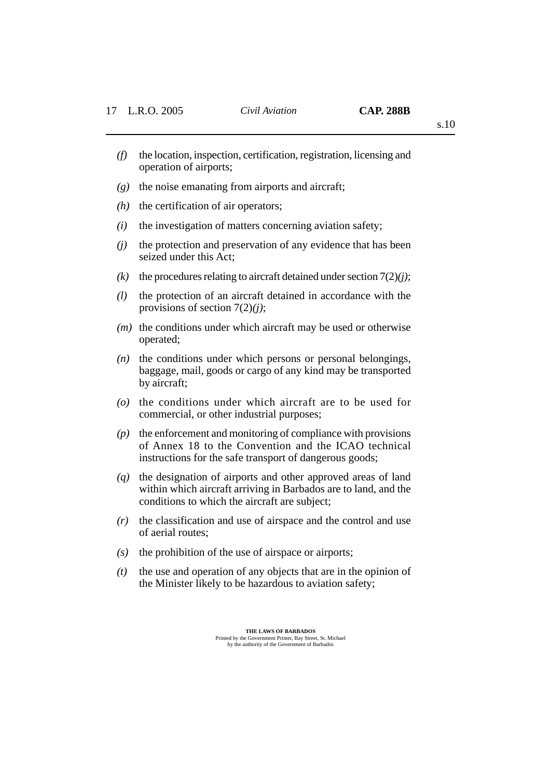- *(f)* the location, inspection, certification, registration, licensing and operation of airports;
- *(g)* the noise emanating from airports and aircraft;
- *(h)* the certification of air operators;
- *(i)* the investigation of matters concerning aviation safety;
- *(j)* the protection and preservation of any evidence that has been seized under this Act;
- *(k)* the procedures relating to aircraft detained under section  $7(2)(j)$ ;
- *(l)* the protection of an aircraft detained in accordance with the provisions of section 7(2)*(j)*;
- *(m)* the conditions under which aircraft may be used or otherwise operated;
- *(n)* the conditions under which persons or personal belongings, baggage, mail, goods or cargo of any kind may be transported by aircraft;
- *(o)* the conditions under which aircraft are to be used for commercial, or other industrial purposes;
- *(p)* the enforcement and monitoring of compliance with provisions of Annex 18 to the Convention and the ICAO technical instructions for the safe transport of dangerous goods;
- *(q)* the designation of airports and other approved areas of land within which aircraft arriving in Barbados are to land, and the conditions to which the aircraft are subject;
- *(r)* the classification and use of airspace and the control and use of aerial routes;
- *(s)* the prohibition of the use of airspace or airports;
- *(t)* the use and operation of any objects that are in the opinion of the Minister likely to be hazardous to aviation safety;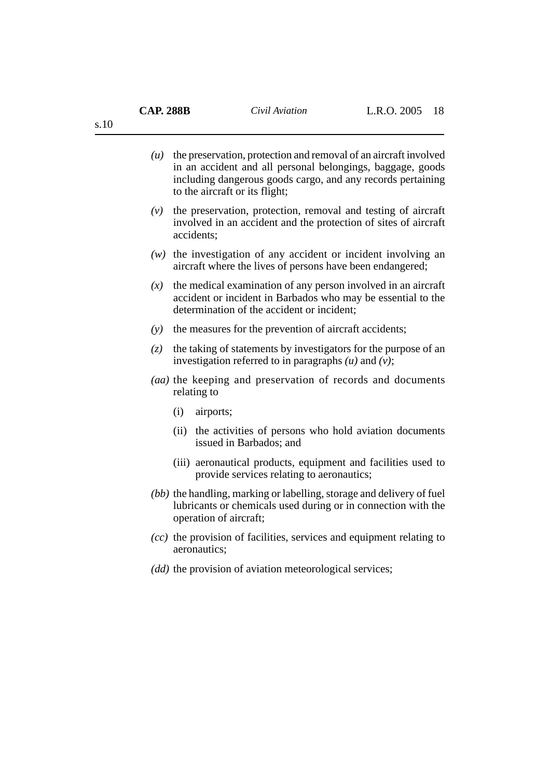| $(u)$ the preservation, protection and removal of an aircraft involved |
|------------------------------------------------------------------------|
| in an accident and all personal belongings, baggage, goods             |
| including dangerous goods cargo, and any records pertaining            |
| to the aircraft or its flight;                                         |

- *(v)* the preservation, protection, removal and testing of aircraft involved in an accident and the protection of sites of aircraft accidents;
- *(w)* the investigation of any accident or incident involving an aircraft where the lives of persons have been endangered;
- *(x)* the medical examination of any person involved in an aircraft accident or incident in Barbados who may be essential to the determination of the accident or incident:
- *(y)* the measures for the prevention of aircraft accidents;
- *(z)* the taking of statements by investigators for the purpose of an investigation referred to in paragraphs *(u)* and *(v)*;
- *(aa)* the keeping and preservation of records and documents relating to
	- (i) airports;
	- (ii) the activities of persons who hold aviation documents issued in Barbados; and
	- (iii) aeronautical products, equipment and facilities used to provide services relating to aeronautics;
- *(bb)* the handling, marking or labelling, storage and delivery of fuel lubricants or chemicals used during or in connection with the operation of aircraft;
- *(cc)* the provision of facilities, services and equipment relating to aeronautics;
- *(dd)* the provision of aviation meteorological services;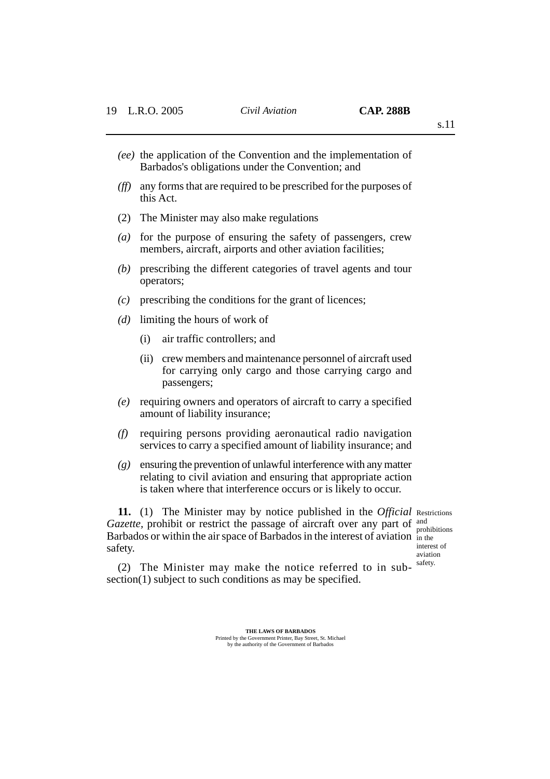- *(ee)* the application of the Convention and the implementation of Barbados's obligations under the Convention; and
- *(ff)* any forms that are required to be prescribed for the purposes of this Act.
- (2) The Minister may also make regulations
- *(a)* for the purpose of ensuring the safety of passengers, crew members, aircraft, airports and other aviation facilities;
- *(b)* prescribing the different categories of travel agents and tour operators;
- *(c)* prescribing the conditions for the grant of licences;
- *(d)* limiting the hours of work of
	- (i) air traffic controllers; and
	- (ii) crew members and maintenance personnel of aircraft used for carrying only cargo and those carrying cargo and passengers;
- *(e)* requiring owners and operators of aircraft to carry a specified amount of liability insurance;
- *(f)* requiring persons providing aeronautical radio navigation services to carry a specified amount of liability insurance; and
- *(g)* ensuring the prevention of unlawful interference with any matter relating to civil aviation and ensuring that appropriate action is taken where that interference occurs or is likely to occur.

**11.** (1) The Minister may by notice published in the *Official* Restrictions *Gazette,* prohibit or restrict the passage of aircraft over any part of and Barbados or within the air space of Barbados in the interest of aviation in the safety. interest of

prohibitions aviation safety.

(2) The Minister may make the notice referred to in subsection(1) subject to such conditions as may be specified.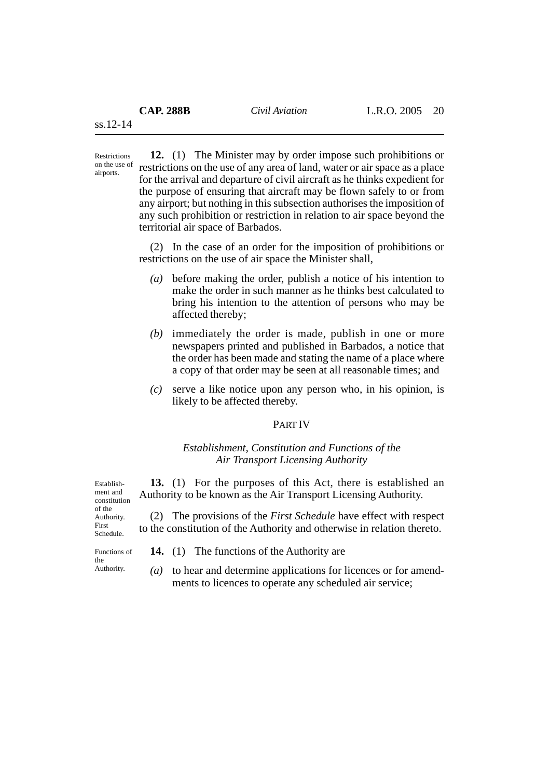airports.

**12.** (1) The Minister may by order impose such prohibitions or restrictions on the use of any area of land, water or air space as a place for the arrival and departure of civil aircraft as he thinks expedient for the purpose of ensuring that aircraft may be flown safely to or from any airport; but nothing in this subsection authorises the imposition of any such prohibition or restriction in relation to air space beyond the territorial air space of Barbados. Restrictions on the use of

> (2) In the case of an order for the imposition of prohibitions or restrictions on the use of air space the Minister shall,

- *(a)* before making the order, publish a notice of his intention to make the order in such manner as he thinks best calculated to bring his intention to the attention of persons who may be affected thereby;
- *(b)* immediately the order is made, publish in one or more newspapers printed and published in Barbados, a notice that the order has been made and stating the name of a place where a copy of that order may be seen at all reasonable times; and
- *(c)* serve a like notice upon any person who, in his opinion, is likely to be affected thereby.

# PART IV

## *Establishment, Constitution and Functions of the Air Transport Licensing Authority*

**13.** (1) For the purposes of this Act, there is established an Authority to be known as the Air Transport Licensing Authority. constitution

> (2) The provisions of the *First Schedule* have effect with respect to the constitution of the Authority and otherwise in relation thereto.

Functions of the Authority.

Establishment and

of the Authority. First Schedule.

- **14.** (1) The functions of the Authority are
- *(a)* to hear and determine applications for licences or for amendments to licences to operate any scheduled air service;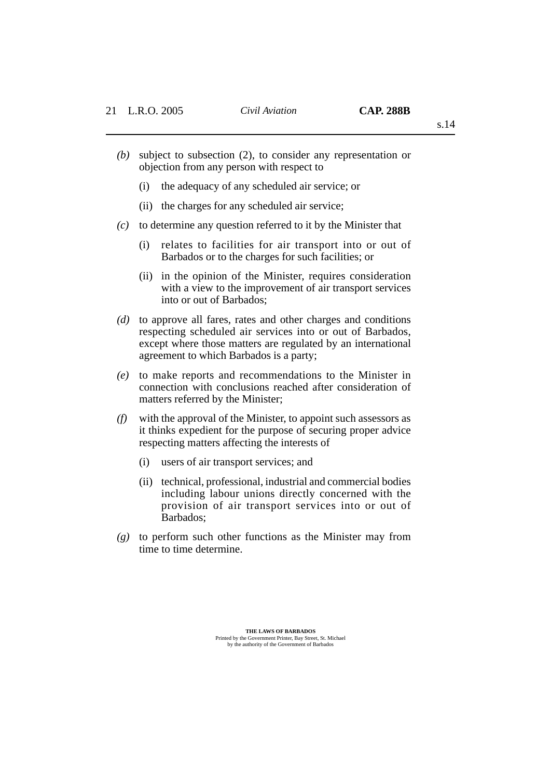s.14

- *(b)* subject to subsection (2), to consider any representation or objection from any person with respect to
	- (i) the adequacy of any scheduled air service; or
	- (ii) the charges for any scheduled air service;
- *(c)* to determine any question referred to it by the Minister that
	- (i) relates to facilities for air transport into or out of Barbados or to the charges for such facilities; or
	- (ii) in the opinion of the Minister, requires consideration with a view to the improvement of air transport services into or out of Barbados;
- *(d)* to approve all fares, rates and other charges and conditions respecting scheduled air services into or out of Barbados, except where those matters are regulated by an international agreement to which Barbados is a party;
- *(e)* to make reports and recommendations to the Minister in connection with conclusions reached after consideration of matters referred by the Minister;
- *(f)* with the approval of the Minister, to appoint such assessors as it thinks expedient for the purpose of securing proper advice respecting matters affecting the interests of
	- (i) users of air transport services; and
	- (ii) technical, professional, industrial and commercial bodies including labour unions directly concerned with the provision of air transport services into or out of Barbados;
- *(g)* to perform such other functions as the Minister may from time to time determine.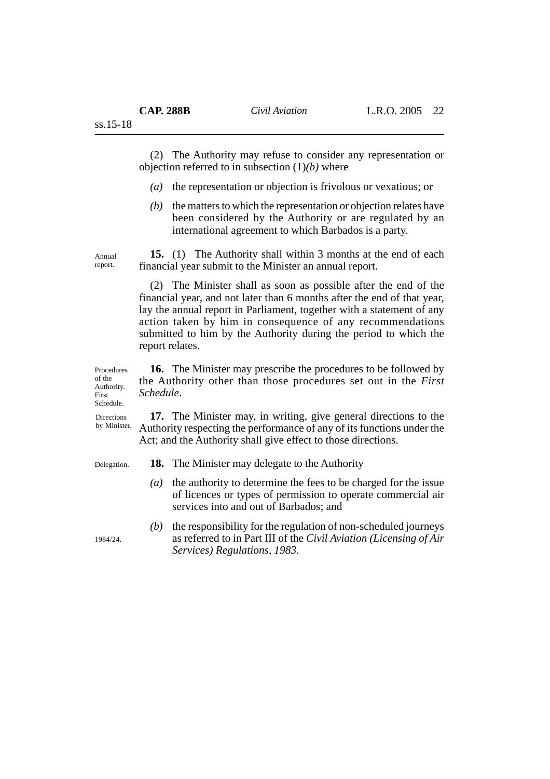(2) The Authority may refuse to consider any representation or objection referred to in subsection (1)*(b)* where

- *(a)* the representation or objection is frivolous or vexatious; or
- *(b)* the matters to which the representation or objection relates have been considered by the Authority or are regulated by an international agreement to which Barbados is a party.

**15.** (1) The Authority shall within 3 months at the end of each financial year submit to the Minister an annual report.

(2) The Minister shall as soon as possible after the end of the financial year, and not later than 6 months after the end of that year, lay the annual report in Parliament, together with a statement of any action taken by him in consequence of any recommendations submitted to him by the Authority during the period to which the report relates.

**16.** The Minister may prescribe the procedures to be followed by the Authority other than those procedures set out in the *First Schedule*. Procedures

> **17.** The Minister may, in writing, give general directions to the Authority respecting the performance of any of its functions under the Act; and the Authority shall give effect to those directions.

Delegation.

- **18.** The Minister may delegate to the Authority
- *(a)* the authority to determine the fees to be charged for the issue of licences or types of permission to operate commercial air services into and out of Barbados; and
- *(b)* the responsibility for the regulation of non-scheduled journeys as referred to in Part III of the *Civil Aviation (Licensing of Air Services) Regulations, 1983*.

1984/24.

of the

Annual report.

ss.15-18

Authority. First Schedule. **Directions** 

by Minister.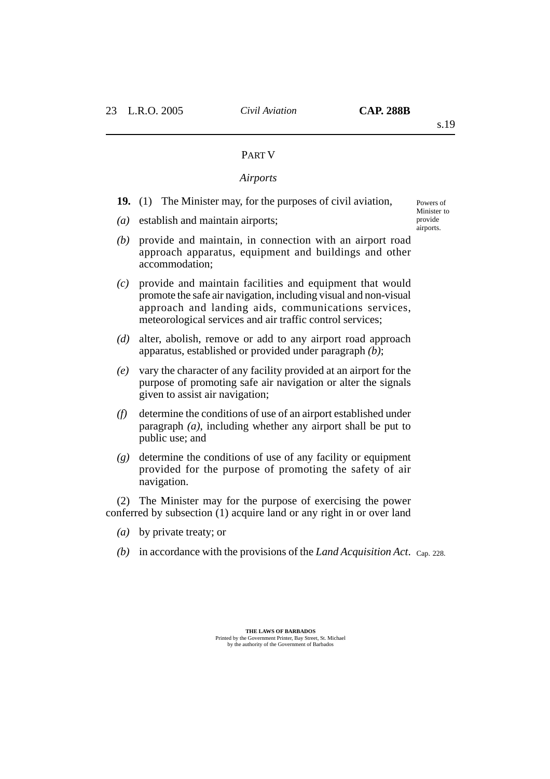Powers of Minister to provide airports.

## PART V

## *Airports*

- **19.** (1) The Minister may, for the purposes of civil aviation,
- *(a)* establish and maintain airports;
- *(b)* provide and maintain, in connection with an airport road approach apparatus, equipment and buildings and other accommodation;
- *(c)* provide and maintain facilities and equipment that would promote the safe air navigation, including visual and non-visual approach and landing aids, communications services, meteorological services and air traffic control services;
- *(d)* alter, abolish, remove or add to any airport road approach apparatus, established or provided under paragraph *(b)*;
- *(e)* vary the character of any facility provided at an airport for the purpose of promoting safe air navigation or alter the signals given to assist air navigation;
- *(f)* determine the conditions of use of an airport established under paragraph *(a)*, including whether any airport shall be put to public use; and
- *(g)* determine the conditions of use of any facility or equipment provided for the purpose of promoting the safety of air navigation.

(2) The Minister may for the purpose of exercising the power conferred by subsection (1) acquire land or any right in or over land

- *(a)* by private treaty; or
- *(b)* in accordance with the provisions of the *Land Acquisition Act*. Cap. 228.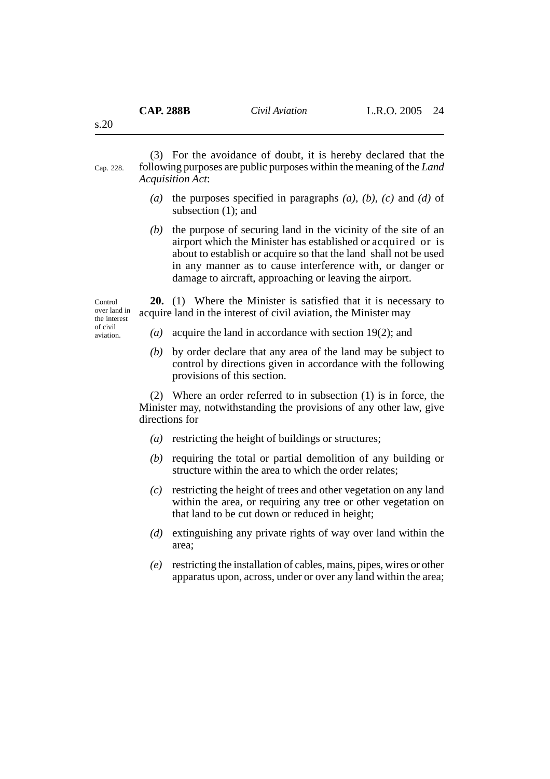(3) For the avoidance of doubt, it is hereby declared that the following purposes are public purposes within the meaning of the *Land Acquisition Act*: Cap. 228.

- *(a)* the purposes specified in paragraphs *(a)*, *(b)*, *(c)* and *(d)* of subsection (1); and
- *(b)* the purpose of securing land in the vicinity of the site of an airport which the Minister has established or acquired or is about to establish or acquire so that the land shall not be used in any manner as to cause interference with, or danger or damage to aircraft, approaching or leaving the airport.

Control over land in the interest of civil aviation.

**20.** (1) Where the Minister is satisfied that it is necessary to acquire land in the interest of civil aviation, the Minister may

- *(a)* acquire the land in accordance with section 19(2); and
- *(b)* by order declare that any area of the land may be subject to control by directions given in accordance with the following provisions of this section.

(2) Where an order referred to in subsection (1) is in force, the Minister may, notwithstanding the provisions of any other law, give directions for

- *(a)* restricting the height of buildings or structures;
- *(b)* requiring the total or partial demolition of any building or structure within the area to which the order relates;
- *(c)* restricting the height of trees and other vegetation on any land within the area, or requiring any tree or other vegetation on that land to be cut down or reduced in height;
- *(d)* extinguishing any private rights of way over land within the area;
- *(e)* restricting the installation of cables, mains, pipes, wires or other apparatus upon, across, under or over any land within the area;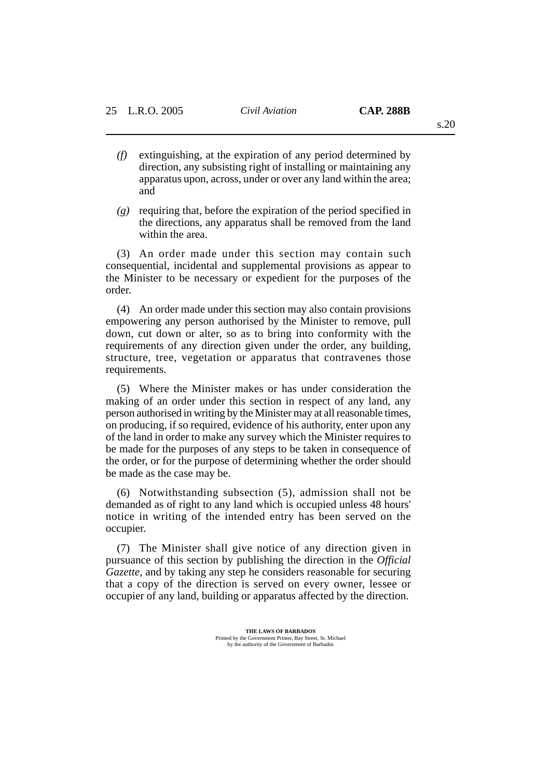- *(f)* extinguishing, at the expiration of any period determined by direction, any subsisting right of installing or maintaining any apparatus upon, across, under or over any land within the area; and
- *(g)* requiring that, before the expiration of the period specified in the directions, any apparatus shall be removed from the land within the area.

(3) An order made under this section may contain such consequential, incidental and supplemental provisions as appear to the Minister to be necessary or expedient for the purposes of the order.

(4) An order made under this section may also contain provisions empowering any person authorised by the Minister to remove, pull down, cut down or alter, so as to bring into conformity with the requirements of any direction given under the order, any building, structure, tree, vegetation or apparatus that contravenes those requirements.

(5) Where the Minister makes or has under consideration the making of an order under this section in respect of any land, any person authorised in writing by the Minister may at all reasonable times, on producing, if so required, evidence of his authority, enter upon any of the land in order to make any survey which the Minister requires to be made for the purposes of any steps to be taken in consequence of the order, or for the purpose of determining whether the order should be made as the case may be.

(6) Notwithstanding subsection (5), admission shall not be demanded as of right to any land which is occupied unless 48 hours' notice in writing of the intended entry has been served on the occupier.

(7) The Minister shall give notice of any direction given in pursuance of this section by publishing the direction in the *Official Gazette*, and by taking any step he considers reasonable for securing that a copy of the direction is served on every owner, lessee or occupier of any land, building or apparatus affected by the direction.

> **THE LAWS OF BARBADOS** Printed by the Government Printer, Bay Street, St. Michael by the authority of the Government of Barbados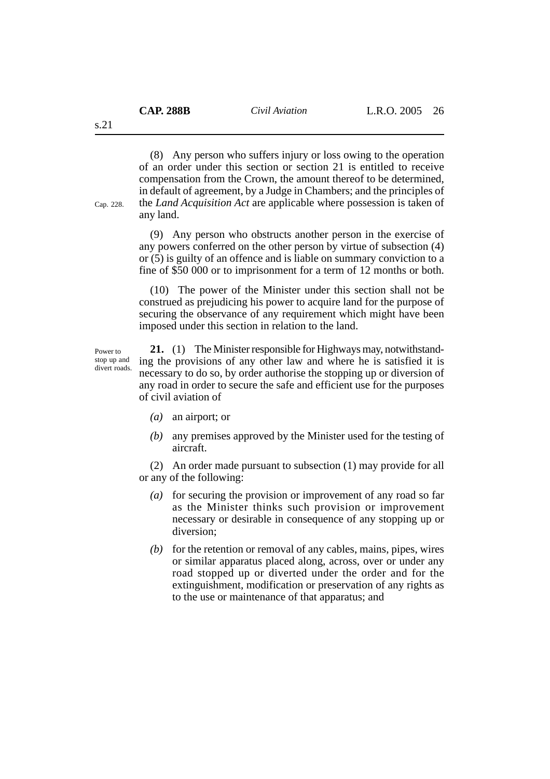(8) Any person who suffers injury or loss owing to the operation of an order under this section or section 21 is entitled to receive compensation from the Crown, the amount thereof to be determined, in default of agreement, by a Judge in Chambers; and the principles of the *Land Acquisition Act* are applicable where possession is taken of any land.

(9) Any person who obstructs another person in the exercise of any powers conferred on the other person by virtue of subsection (4) or (5) is guilty of an offence and is liable on summary conviction to a fine of \$50 000 or to imprisonment for a term of 12 months or both.

(10) The power of the Minister under this section shall not be construed as prejudicing his power to acquire land for the purpose of securing the observance of any requirement which might have been imposed under this section in relation to the land.

Power to stop up and divert roads.

**21.** (1) The Minister responsible for Highways may, notwithstanding the provisions of any other law and where he is satisfied it is necessary to do so, by order authorise the stopping up or diversion of any road in order to secure the safe and efficient use for the purposes of civil aviation of

- *(a)* an airport; or
- *(b)* any premises approved by the Minister used for the testing of aircraft.

(2) An order made pursuant to subsection (1) may provide for all or any of the following:

- *(a)* for securing the provision or improvement of any road so far as the Minister thinks such provision or improvement necessary or desirable in consequence of any stopping up or diversion;
- *(b)* for the retention or removal of any cables, mains, pipes, wires or similar apparatus placed along, across, over or under any road stopped up or diverted under the order and for the extinguishment, modification or preservation of any rights as to the use or maintenance of that apparatus; and

s.21

Cap. 228.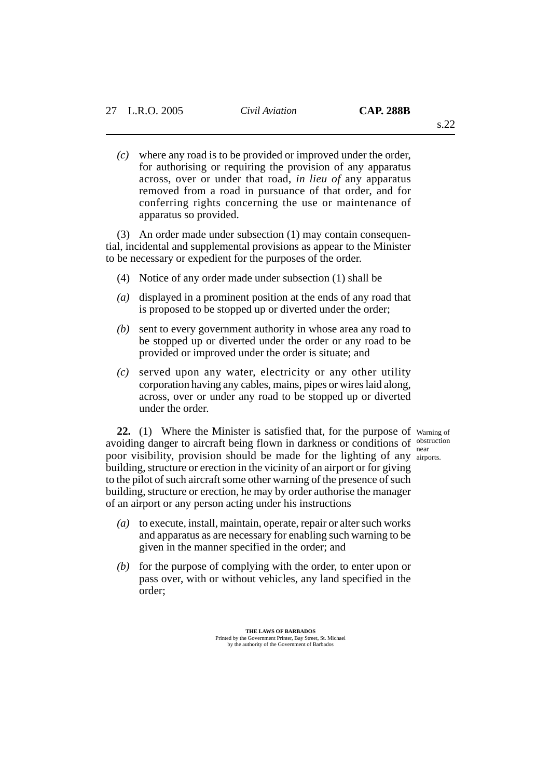*(c)* where any road is to be provided or improved under the order, for authorising or requiring the provision of any apparatus across, over or under that road, *in lieu of* any apparatus removed from a road in pursuance of that order, and for conferring rights concerning the use or maintenance of apparatus so provided.

(3) An order made under subsection (1) may contain consequential, incidental and supplemental provisions as appear to the Minister to be necessary or expedient for the purposes of the order.

- (4) Notice of any order made under subsection (1) shall be
- *(a)* displayed in a prominent position at the ends of any road that is proposed to be stopped up or diverted under the order;
- *(b)* sent to every government authority in whose area any road to be stopped up or diverted under the order or any road to be provided or improved under the order is situate; and
- *(c)* served upon any water, electricity or any other utility corporation having any cables, mains, pipes or wires laid along, across, over or under any road to be stopped up or diverted under the order.

22. (1) Where the Minister is satisfied that, for the purpose of warning of avoiding danger to aircraft being flown in darkness or conditions of obstruction poor visibility, provision should be made for the lighting of any airports. building, structure or erection in the vicinity of an airport or for giving to the pilot of such aircraft some other warning of the presence of such building, structure or erection, he may by order authorise the manager of an airport or any person acting under his instructions

- *(a)* to execute, install, maintain, operate, repair or alter such works and apparatus as are necessary for enabling such warning to be given in the manner specified in the order; and
- *(b)* for the purpose of complying with the order, to enter upon or pass over, with or without vehicles, any land specified in the order;

**THE LAWS OF BARBADOS** Printed by the Government Printer, Bay Street, St. Michael by the authority of the Government of Barbados near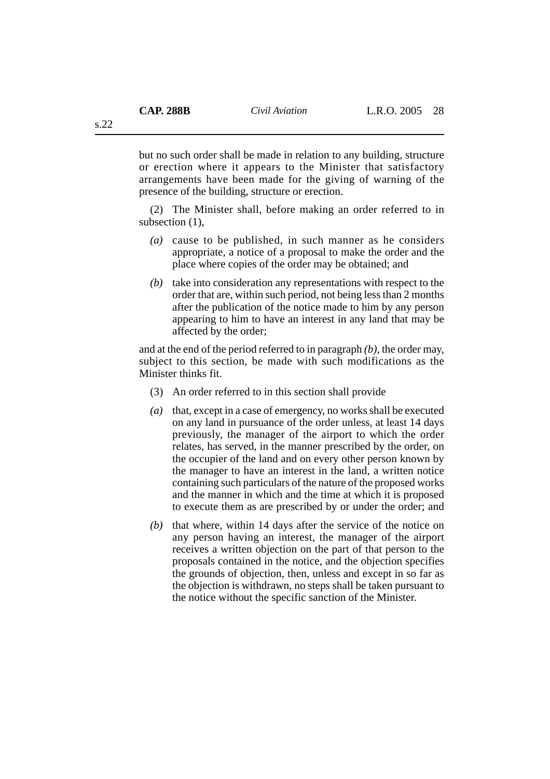but no such order shall be made in relation to any building, structure or erection where it appears to the Minister that satisfactory arrangements have been made for the giving of warning of the presence of the building, structure or erection.

(2) The Minister shall, before making an order referred to in subsection (1),

- *(a)* cause to be published, in such manner as he considers appropriate, a notice of a proposal to make the order and the place where copies of the order may be obtained; and
- *(b)* take into consideration any representations with respect to the order that are, within such period, not being less than 2 months after the publication of the notice made to him by any person appearing to him to have an interest in any land that may be affected by the order;

and at the end of the period referred to in paragraph *(b)*, the order may, subject to this section, be made with such modifications as the Minister thinks fit.

- (3) An order referred to in this section shall provide
- *(a)* that, except in a case of emergency, no works shall be executed on any land in pursuance of the order unless, at least 14 days previously, the manager of the airport to which the order relates, has served, in the manner prescribed by the order, on the occupier of the land and on every other person known by the manager to have an interest in the land, a written notice containing such particulars of the nature of the proposed works and the manner in which and the time at which it is proposed to execute them as are prescribed by or under the order; and
- *(b)* that where, within 14 days after the service of the notice on any person having an interest, the manager of the airport receives a written objection on the part of that person to the proposals contained in the notice, and the objection specifies the grounds of objection, then, unless and except in so far as the objection is withdrawn, no steps shall be taken pursuant to the notice without the specific sanction of the Minister.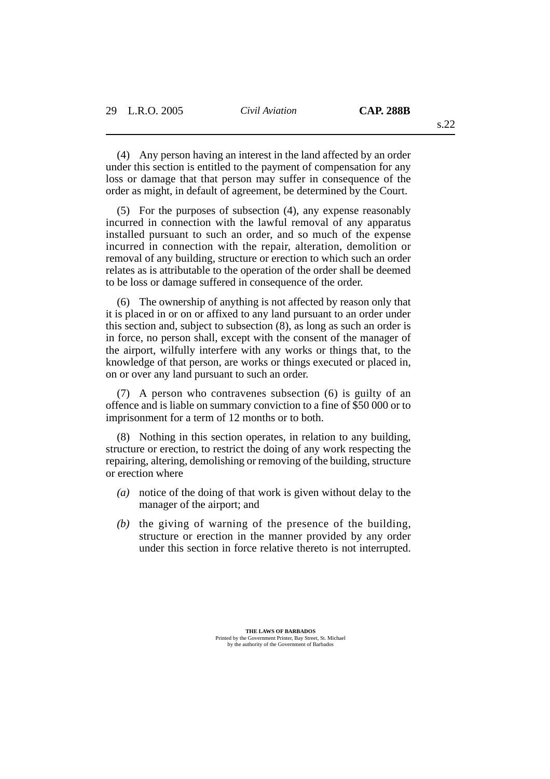(4) Any person having an interest in the land affected by an order under this section is entitled to the payment of compensation for any loss or damage that that person may suffer in consequence of the order as might, in default of agreement, be determined by the Court.

(5) For the purposes of subsection (4), any expense reasonably incurred in connection with the lawful removal of any apparatus installed pursuant to such an order, and so much of the expense incurred in connection with the repair, alteration, demolition or removal of any building, structure or erection to which such an order relates as is attributable to the operation of the order shall be deemed to be loss or damage suffered in consequence of the order.

(6) The ownership of anything is not affected by reason only that it is placed in or on or affixed to any land pursuant to an order under this section and, subject to subsection (8), as long as such an order is in force, no person shall, except with the consent of the manager of the airport, wilfully interfere with any works or things that, to the knowledge of that person, are works or things executed or placed in, on or over any land pursuant to such an order.

(7) A person who contravenes subsection (6) is guilty of an offence and is liable on summary conviction to a fine of \$50 000 or to imprisonment for a term of 12 months or to both.

(8) Nothing in this section operates, in relation to any building, structure or erection, to restrict the doing of any work respecting the repairing, altering, demolishing or removing of the building, structure or erection where

- *(a)* notice of the doing of that work is given without delay to the manager of the airport; and
- *(b)* the giving of warning of the presence of the building, structure or erection in the manner provided by any order under this section in force relative thereto is not interrupted.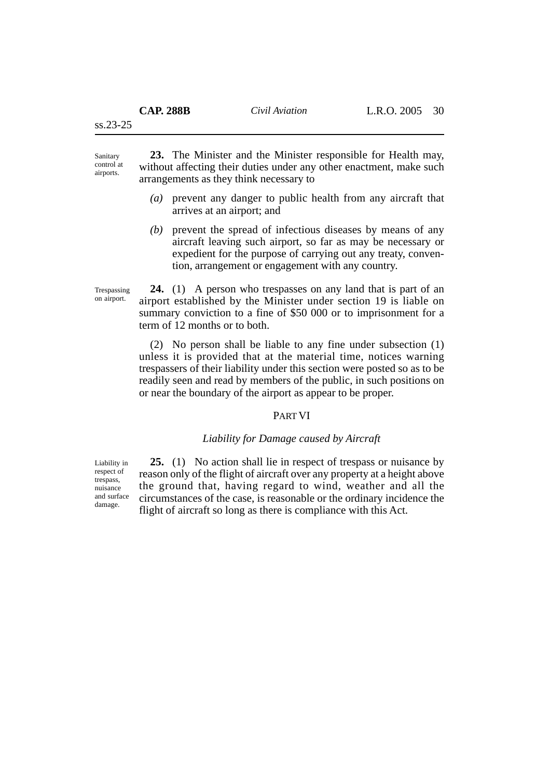ss.23-25

**23.** The Minister and the Minister responsible for Health may, without affecting their duties under any other enactment, make such arrangements as they think necessary to Sanitary control at airports.

- *(a)* prevent any danger to public health from any aircraft that arrives at an airport; and
- *(b)* prevent the spread of infectious diseases by means of any aircraft leaving such airport, so far as may be necessary or expedient for the purpose of carrying out any treaty, convention, arrangement or engagement with any country.

Trespassing on airport.

**24.** (1) A person who trespasses on any land that is part of an airport established by the Minister under section 19 is liable on summary conviction to a fine of \$50 000 or to imprisonment for a term of 12 months or to both.

(2) No person shall be liable to any fine under subsection (1) unless it is provided that at the material time, notices warning trespassers of their liability under this section were posted so as to be readily seen and read by members of the public, in such positions on or near the boundary of the airport as appear to be proper.

## PART VI

## *Liability for Damage caused by Aircraft*

Liability in respect of trespass, nuisance and surface damage.

**25.** (1) No action shall lie in respect of trespass or nuisance by reason only of the flight of aircraft over any property at a height above the ground that, having regard to wind, weather and all the circumstances of the case, is reasonable or the ordinary incidence the flight of aircraft so long as there is compliance with this Act.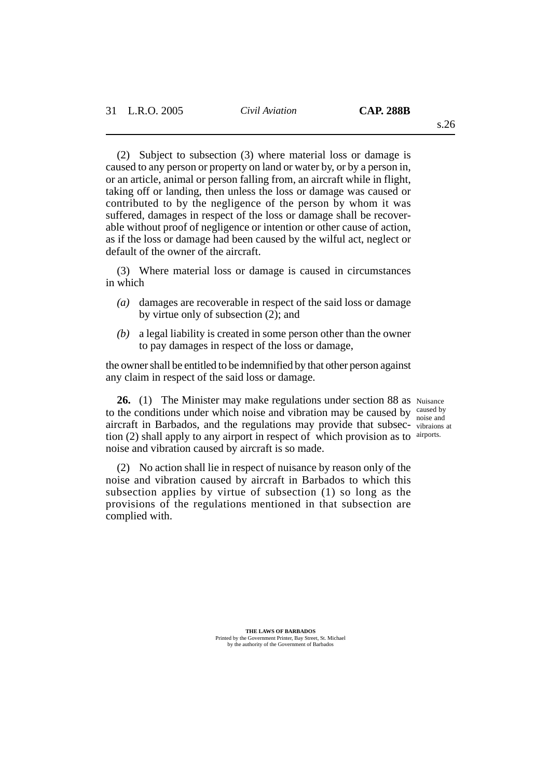(2) Subject to subsection (3) where material loss or damage is caused to any person or property on land or water by, or by a person in, or an article, animal or person falling from, an aircraft while in flight, taking off or landing, then unless the loss or damage was caused or contributed to by the negligence of the person by whom it was suffered, damages in respect of the loss or damage shall be recoverable without proof of negligence or intention or other cause of action, as if the loss or damage had been caused by the wilful act, neglect or default of the owner of the aircraft.

(3) Where material loss or damage is caused in circumstances in which

- *(a)* damages are recoverable in respect of the said loss or damage by virtue only of subsection (2); and
- *(b)* a legal liability is created in some person other than the owner to pay damages in respect of the loss or damage,

the owner shall be entitled to be indemnified by that other person against any claim in respect of the said loss or damage.

26. (1) The Minister may make regulations under section 88 as Nuisance to the conditions under which noise and vibration may be caused by caused by aircraft in Barbados, and the regulations may provide that subsec-vibraions at tion (2) shall apply to any airport in respect of which provision as to airports. noise and vibration caused by aircraft is so made.

noise and

(2) No action shall lie in respect of nuisance by reason only of the noise and vibration caused by aircraft in Barbados to which this subsection applies by virtue of subsection (1) so long as the provisions of the regulations mentioned in that subsection are complied with.

> **THE LAWS OF BARBADOS** Printed by the Government Printer, Bay Street, St. Michael by the authority of the Government of Barbados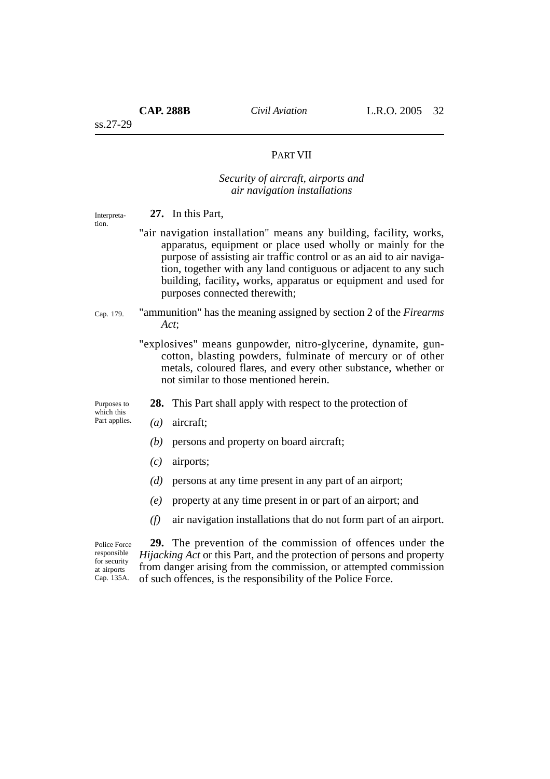# PART VII

# *Security of aircraft, airports and air navigation installations*

**27.** In this Part, "air navigation installation" means any building, facility, works, apparatus, equipment or place used wholly or mainly for the purpose of assisting air traffic control or as an aid to air navigation, together with any land contiguous or adjacent to any such building, facility**,** works, apparatus or equipment and used for purposes connected therewith; "ammunition" has the meaning assigned by section 2 of the *Firearms Act*; "explosives" means gunpowder, nitro-glycerine, dynamite, guncotton, blasting powders, fulminate of mercury or of other metals, coloured flares, and every other substance, whether or not similar to those mentioned herein. **28.** This Part shall apply with respect to the protection of *(a)* aircraft; *(b)* persons and property on board aircraft; *(c)* airports; *(d)* persons at any time present in any part of an airport; *(e)* property at any time present in or part of an airport; and *(f)* air navigation installations that do not form part of an airport. **29.** The prevention of the commission of offences under the *Hijacking Act* or this Part, and the protection of persons and property from danger arising from the commission, or attempted commission of such offences, is the responsibility of the Police Force. Interpretation. Purposes to which this Part applies. Police Force responsible for security at airports Cap. 135A. Cap. 179.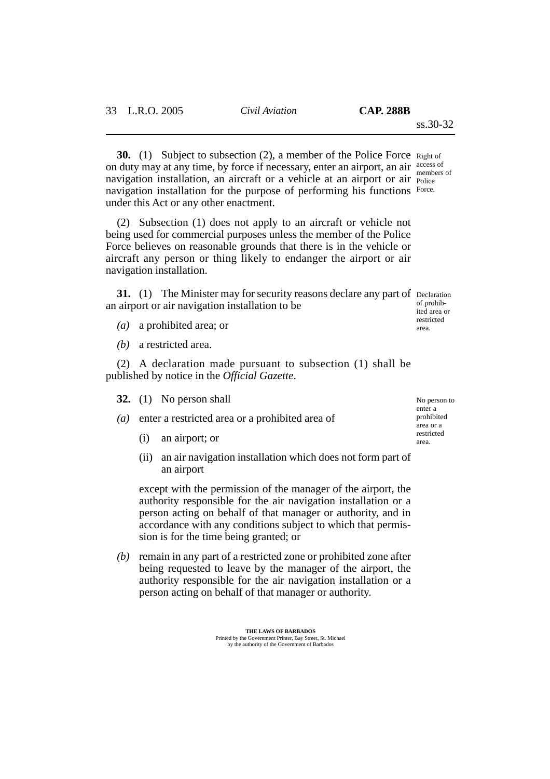**30.** (1) Subject to subsection (2), a member of the Police Force Right of on duty may at any time, by force if necessary, enter an airport, an air access of navigation installation, an aircraft or a vehicle at an airport or air Police navigation installation for the purpose of performing his functions Force. under this Act or any other enactment. members of

(2) Subsection (1) does not apply to an aircraft or vehicle not being used for commercial purposes unless the member of the Police Force believes on reasonable grounds that there is in the vehicle or aircraft any person or thing likely to endanger the airport or air navigation installation.

**31.** (1) The Minister may for security reasons declare any part of Declaration an airport or air navigation installation to be

- *(a)* a prohibited area; or
- *(b)* a restricted area.

(2) A declaration made pursuant to subsection (1) shall be published by notice in the *Official Gazette*.

- **32.** (1) No person shall
- *(a)* enter a restricted area or a prohibited area of
	- (i) an airport; or
	- (ii) an air navigation installation which does not form part of an airport

except with the permission of the manager of the airport, the authority responsible for the air navigation installation or a person acting on behalf of that manager or authority, and in accordance with any conditions subject to which that permission is for the time being granted; or

*(b)* remain in any part of a restricted zone or prohibited zone after being requested to leave by the manager of the airport, the authority responsible for the air navigation installation or a person acting on behalf of that manager or authority.

No person to enter a prohibited area or a restricted area.

of prohibited area or restricted area.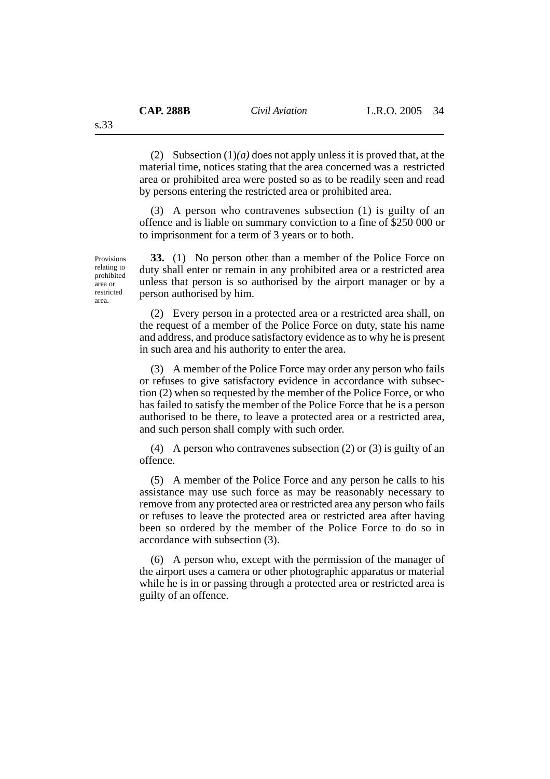(2) Subsection (1)*(a)* does not apply unless it is proved that, at the material time, notices stating that the area concerned was a restricted area or prohibited area were posted so as to be readily seen and read by persons entering the restricted area or prohibited area.

(3) A person who contravenes subsection (1) is guilty of an offence and is liable on summary conviction to a fine of \$250 000 or to imprisonment for a term of 3 years or to both.

**33.** (1) No person other than a member of the Police Force on duty shall enter or remain in any prohibited area or a restricted area unless that person is so authorised by the airport manager or by a person authorised by him.

(2) Every person in a protected area or a restricted area shall, on the request of a member of the Police Force on duty, state his name and address, and produce satisfactory evidence as to why he is present in such area and his authority to enter the area.

(3) A member of the Police Force may order any person who fails or refuses to give satisfactory evidence in accordance with subsection (2) when so requested by the member of the Police Force, or who has failed to satisfy the member of the Police Force that he is a person authorised to be there, to leave a protected area or a restricted area, and such person shall comply with such order.

(4) A person who contravenes subsection (2) or (3) is guilty of an offence.

(5) A member of the Police Force and any person he calls to his assistance may use such force as may be reasonably necessary to remove from any protected area or restricted area any person who fails or refuses to leave the protected area or restricted area after having been so ordered by the member of the Police Force to do so in accordance with subsection (3).

(6) A person who, except with the permission of the manager of the airport uses a camera or other photographic apparatus or material while he is in or passing through a protected area or restricted area is guilty of an offence.

Provisions relating to prohibited area or restricted area.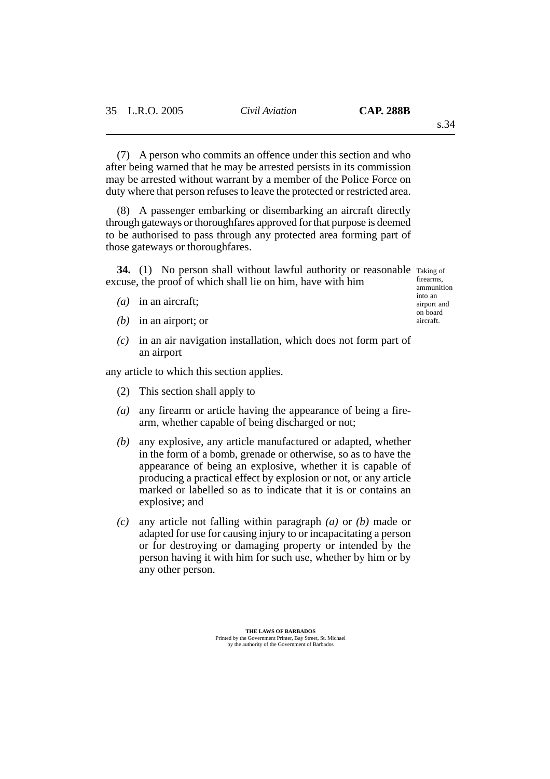(7) A person who commits an offence under this section and who after being warned that he may be arrested persists in its commission may be arrested without warrant by a member of the Police Force on duty where that person refuses to leave the protected or restricted area.

(8) A passenger embarking or disembarking an aircraft directly through gateways or thoroughfares approved for that purpose is deemed to be authorised to pass through any protected area forming part of those gateways or thoroughfares.

34. (1) No person shall without lawful authority or reasonable Taking of excuse, the proof of which shall lie on him, have with him

- *(a)* in an aircraft;
- *(b)* in an airport; or
- *(c)* in an air navigation installation, which does not form part of an airport

any article to which this section applies.

- (2) This section shall apply to
- *(a)* any firearm or article having the appearance of being a firearm, whether capable of being discharged or not;
- *(b)* any explosive, any article manufactured or adapted, whether in the form of a bomb, grenade or otherwise, so as to have the appearance of being an explosive, whether it is capable of producing a practical effect by explosion or not, or any article marked or labelled so as to indicate that it is or contains an explosive; and
- *(c)* any article not falling within paragraph *(a)* or *(b)* made or adapted for use for causing injury to or incapacitating a person or for destroying or damaging property or intended by the person having it with him for such use, whether by him or by any other person.

firearms, ammunition into an airport and on board aircraft.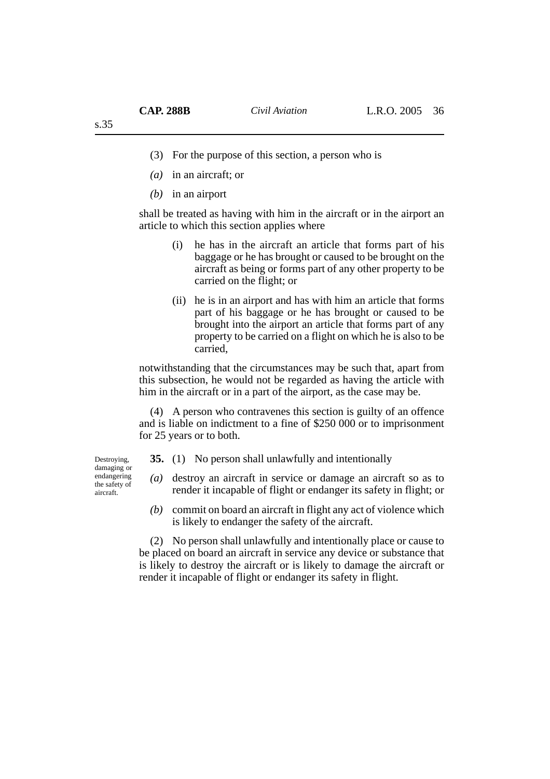- (3) For the purpose of this section, a person who is
- *(a)* in an aircraft; or
- *(b)* in an airport

shall be treated as having with him in the aircraft or in the airport an article to which this section applies where

- (i) he has in the aircraft an article that forms part of his baggage or he has brought or caused to be brought on the aircraft as being or forms part of any other property to be carried on the flight; or
- (ii) he is in an airport and has with him an article that forms part of his baggage or he has brought or caused to be brought into the airport an article that forms part of any property to be carried on a flight on which he is also to be carried,

notwithstanding that the circumstances may be such that, apart from this subsection, he would not be regarded as having the article with him in the aircraft or in a part of the airport, as the case may be.

(4) A person who contravenes this section is guilty of an offence and is liable on indictment to a fine of \$250 000 or to imprisonment for 25 years or to both.

Destroying, damaging or endangering the safety of aircraft.

- **35.** (1) No person shall unlawfully and intentionally
- *(a)* destroy an aircraft in service or damage an aircraft so as to render it incapable of flight or endanger its safety in flight; or
- *(b)* commit on board an aircraft in flight any act of violence which is likely to endanger the safety of the aircraft.

(2) No person shall unlawfully and intentionally place or cause to be placed on board an aircraft in service any device or substance that is likely to destroy the aircraft or is likely to damage the aircraft or render it incapable of flight or endanger its safety in flight.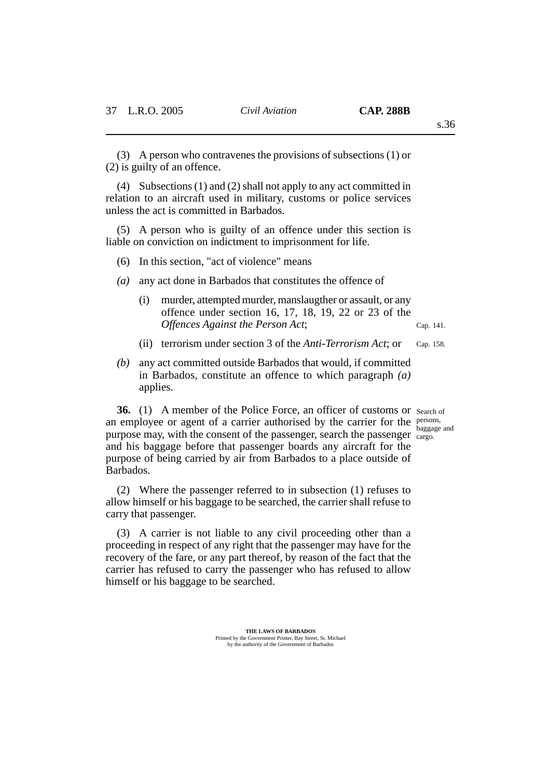s.36

(3) A person who contravenes the provisions of subsections (1) or (2) is guilty of an offence.

(4) Subsections (1) and (2) shall not apply to any act committed in relation to an aircraft used in military, customs or police services unless the act is committed in Barbados.

(5) A person who is guilty of an offence under this section is liable on conviction on indictment to imprisonment for life.

- (6) In this section, "act of violence" means
- *(a)* any act done in Barbados that constitutes the offence of
	- (i) murder, attempted murder, manslaugther or assault, or any offence under section 16, 17, 18, 19, 22 or 23 of the *Offences Against the Person Act*; Cap. 141.
	- (ii) terrorism under section 3 of the *Anti-Terrorism Act*; or Cap. 158.
- *(b)* any act committed outside Barbados that would, if committed in Barbados, constitute an offence to which paragraph *(a)* applies.

**36.** (1) A member of the Police Force, an officer of customs or search of an employee or agent of a carrier authorised by the carrier for the persons, purpose may, with the consent of the passenger, search the passenger cargo. and his baggage before that passenger boards any aircraft for the purpose of being carried by air from Barbados to a place outside of Barbados.

(2) Where the passenger referred to in subsection (1) refuses to allow himself or his baggage to be searched, the carrier shall refuse to carry that passenger.

(3) A carrier is not liable to any civil proceeding other than a proceeding in respect of any right that the passenger may have for the recovery of the fare, or any part thereof, by reason of the fact that the carrier has refused to carry the passenger who has refused to allow himself or his baggage to be searched.

baggage and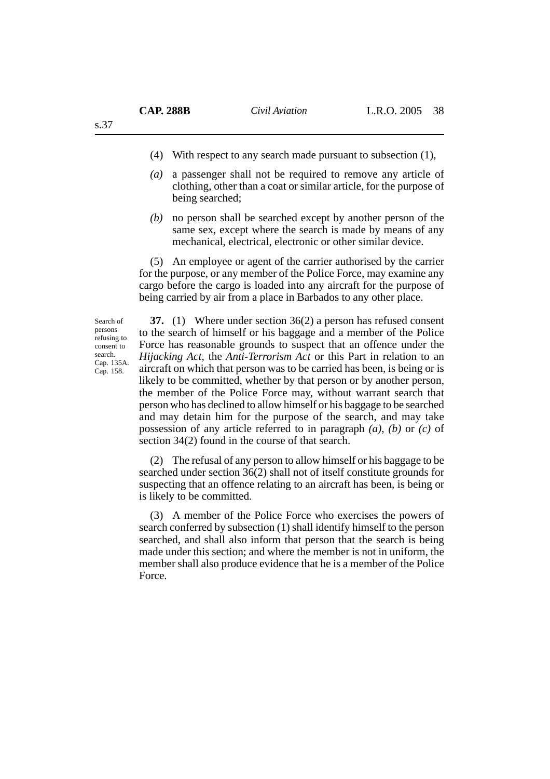- (4) With respect to any search made pursuant to subsection (1),
- *(a)* a passenger shall not be required to remove any article of clothing, other than a coat or similar article, for the purpose of being searched;
- *(b)* no person shall be searched except by another person of the same sex, except where the search is made by means of any mechanical, electrical, electronic or other similar device.

(5) An employee or agent of the carrier authorised by the carrier for the purpose, or any member of the Police Force, may examine any cargo before the cargo is loaded into any aircraft for the purpose of being carried by air from a place in Barbados to any other place.

Search of persons refusing to consent to search. Cap. 135A. Cap. 158.

**37.** (1) Where under section 36(2) a person has refused consent to the search of himself or his baggage and a member of the Police Force has reasonable grounds to suspect that an offence under the *Hijacking Act,* the *Anti-Terrorism Act* or this Part in relation to an aircraft on which that person was to be carried has been, is being or is likely to be committed, whether by that person or by another person, the member of the Police Force may, without warrant search that person who has declined to allow himself or his baggage to be searched and may detain him for the purpose of the search, and may take possession of any article referred to in paragraph *(a)*, *(b)* or *(c)* of section 34(2) found in the course of that search.

(2) The refusal of any person to allow himself or his baggage to be searched under section 36(2) shall not of itself constitute grounds for suspecting that an offence relating to an aircraft has been, is being or is likely to be committed.

(3) A member of the Police Force who exercises the powers of search conferred by subsection (1) shall identify himself to the person searched, and shall also inform that person that the search is being made under this section; and where the member is not in uniform, the member shall also produce evidence that he is a member of the Police Force.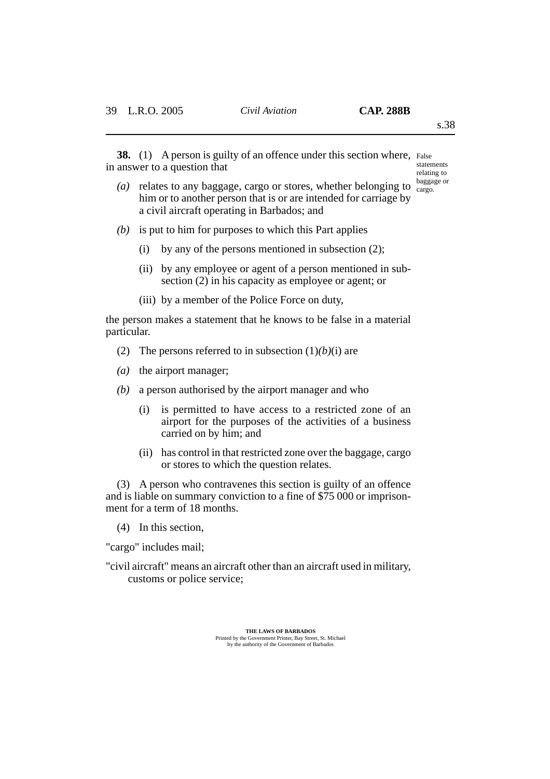**38.** (1) A person is guilty of an offence under this section where, False in answer to a question that

statements relating to baggage or

s.38

- (*a*) relates to any baggage, cargo or stores, whether belonging to  $\frac{g_{\text{carg}}}{g_{\text{carg}}$ him or to another person that is or are intended for carriage by a civil aircraft operating in Barbados; and
- *(b)* is put to him for purposes to which this Part applies
	- (i) by any of the persons mentioned in subsection (2);
	- (ii) by any employee or agent of a person mentioned in subsection (2) in his capacity as employee or agent; or
	- (iii) by a member of the Police Force on duty,

the person makes a statement that he knows to be false in a material particular.

- (2) The persons referred to in subsection  $(1)(b)(i)$  are
- *(a)* the airport manager;
- *(b)* a person authorised by the airport manager and who
	- (i) is permitted to have access to a restricted zone of an airport for the purposes of the activities of a business carried on by him; and
	- (ii) has control in that restricted zone over the baggage, cargo or stores to which the question relates.

(3) A person who contravenes this section is guilty of an offence and is liable on summary conviction to a fine of \$75 000 or imprisonment for a term of 18 months.

(4) In this section,

"cargo" includes mail;

"civil aircraft" means an aircraft other than an aircraft used in military, customs or police service;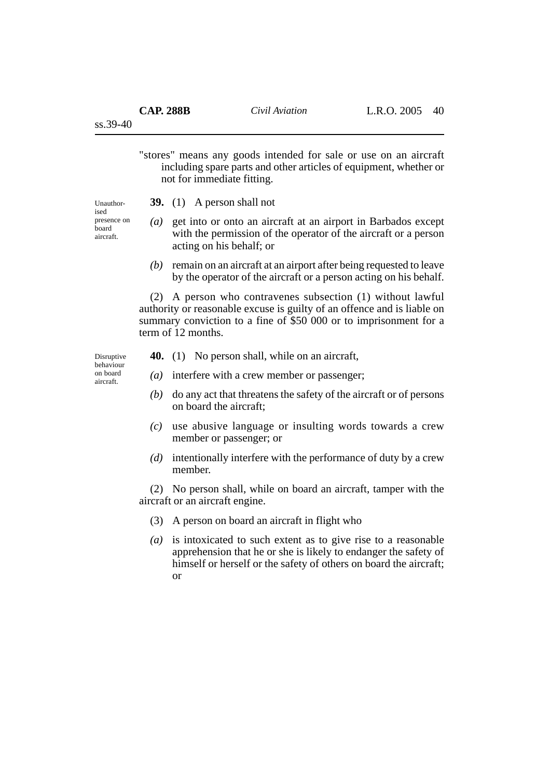ss.39-40

"stores" means any goods intended for sale or use on an aircraft including spare parts and other articles of equipment, whether or not for immediate fitting.

**39.** (1) A person shall not

Unauthorised presence on board aircraft.

- *(a)* get into or onto an aircraft at an airport in Barbados except with the permission of the operator of the aircraft or a person acting on his behalf; or
- *(b)* remain on an aircraft at an airport after being requested to leave by the operator of the aircraft or a person acting on his behalf.

(2) A person who contravenes subsection (1) without lawful authority or reasonable excuse is guilty of an offence and is liable on summary conviction to a fine of \$50 000 or to imprisonment for a term of 12 months.

Disruptive behaviour on board aircraft.

- **40.** (1) No person shall, while on an aircraft,
- *(a)* interfere with a crew member or passenger;
- *(b)* do any act that threatens the safety of the aircraft or of persons on board the aircraft;
- *(c)* use abusive language or insulting words towards a crew member or passenger; or
- *(d)* intentionally interfere with the performance of duty by a crew member.

(2) No person shall, while on board an aircraft, tamper with the aircraft or an aircraft engine.

- (3) A person on board an aircraft in flight who
- *(a)* is intoxicated to such extent as to give rise to a reasonable apprehension that he or she is likely to endanger the safety of himself or herself or the safety of others on board the aircraft; or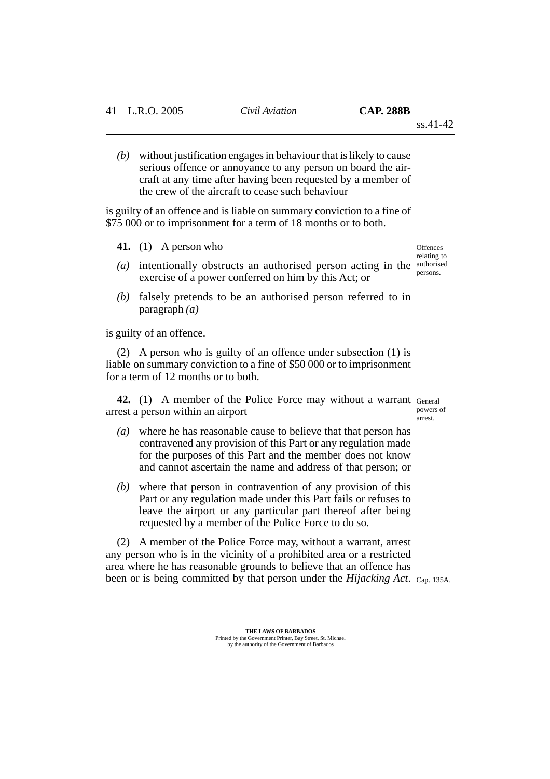*(b)* without justification engages in behaviour that is likely to cause serious offence or annoyance to any person on board the aircraft at any time after having been requested by a member of the crew of the aircraft to cease such behaviour

is guilty of an offence and is liable on summary conviction to a fine of \$75 000 or to imprisonment for a term of 18 months or to both.

- **41.** (1) A person who
- (a) intentionally obstructs an authorised person acting in the authorised exercise of a power conferred on him by this Act; or
- *(b)* falsely pretends to be an authorised person referred to in paragraph *(a)*

is guilty of an offence.

(2) A person who is guilty of an offence under subsection (1) is liable on summary conviction to a fine of \$50 000 or to imprisonment for a term of 12 months or to both.

42. (1) A member of the Police Force may without a warrant General arrest a person within an airport powers of arrest.

- *(a)* where he has reasonable cause to believe that that person has contravened any provision of this Part or any regulation made for the purposes of this Part and the member does not know and cannot ascertain the name and address of that person; or
- *(b)* where that person in contravention of any provision of this Part or any regulation made under this Part fails or refuses to leave the airport or any particular part thereof after being requested by a member of the Police Force to do so.

(2) A member of the Police Force may, without a warrant, arrest any person who is in the vicinity of a prohibited area or a restricted area where he has reasonable grounds to believe that an offence has been or is being committed by that person under the *Hijacking Act*. Cap. 135A.

**Offences** relating to persons.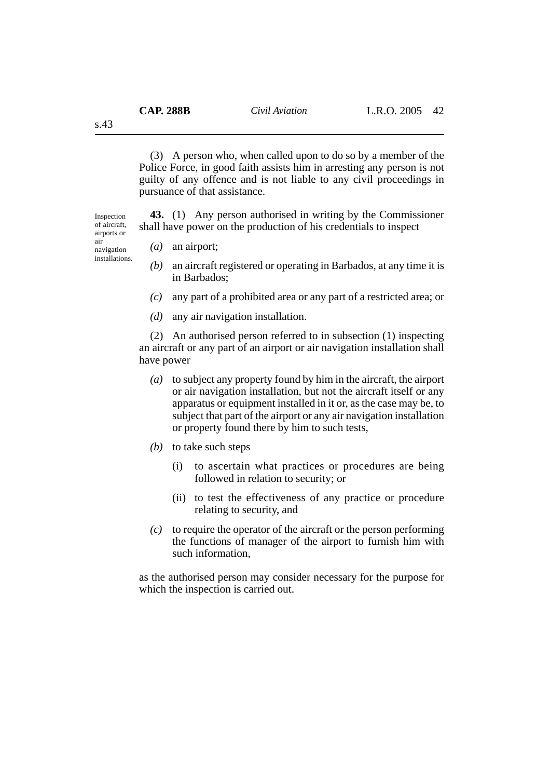(3) A person who, when called upon to do so by a member of the Police Force, in good faith assists him in arresting any person is not guilty of any offence and is not liable to any civil proceedings in pursuance of that assistance.

**43.** (1) Any person authorised in writing by the Commissioner shall have power on the production of his credentials to inspect

*(a)* an airport; navigation

- *(b)* an aircraft registered or operating in Barbados, at any time it is in Barbados;
- *(c)* any part of a prohibited area or any part of a restricted area; or
- *(d)* any air navigation installation.

(2) An authorised person referred to in subsection (1) inspecting an aircraft or any part of an airport or air navigation installation shall have power

- *(a)* to subject any property found by him in the aircraft, the airport or air navigation installation, but not the aircraft itself or any apparatus or equipment installed in it or, as the case may be, to subject that part of the airport or any air navigation installation or property found there by him to such tests,
- *(b)* to take such steps
	- (i) to ascertain what practices or procedures are being followed in relation to security; or
	- (ii) to test the effectiveness of any practice or procedure relating to security, and
- *(c)* to require the operator of the aircraft or the person performing the functions of manager of the airport to furnish him with such information,

as the authorised person may consider necessary for the purpose for which the inspection is carried out.

s.43

Inspection of aircraft, airports or air

installations.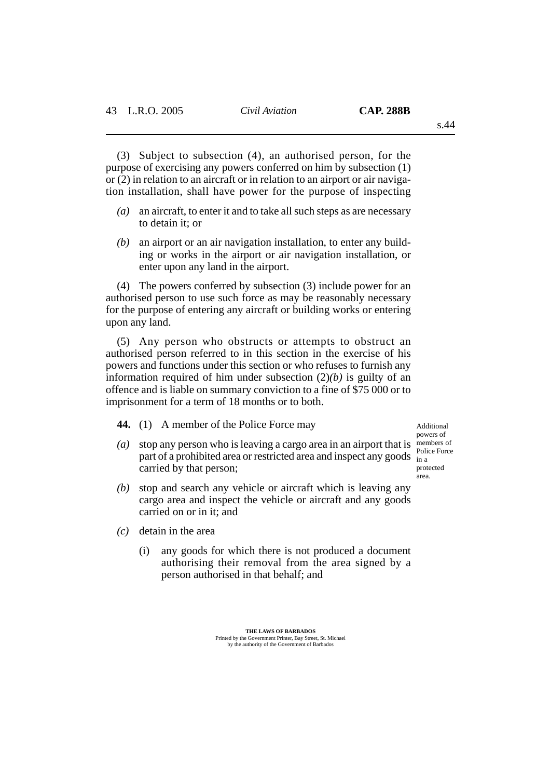(3) Subject to subsection (4), an authorised person, for the purpose of exercising any powers conferred on him by subsection (1) or (2) in relation to an aircraft or in relation to an airport or air navigation installation, shall have power for the purpose of inspecting

- *(a)* an aircraft, to enter it and to take all such steps as are necessary to detain it; or
- *(b)* an airport or an air navigation installation, to enter any building or works in the airport or air navigation installation, or enter upon any land in the airport.

(4) The powers conferred by subsection (3) include power for an authorised person to use such force as may be reasonably necessary for the purpose of entering any aircraft or building works or entering upon any land.

(5) Any person who obstructs or attempts to obstruct an authorised person referred to in this section in the exercise of his powers and functions under this section or who refuses to furnish any information required of him under subsection  $(2)(b)$  is guilty of an offence and is liable on summary conviction to a fine of \$75 000 or to imprisonment for a term of 18 months or to both.

**44.** (1) A member of the Police Force may

- (a) stop any person who is leaving a cargo area in an airport that is members of part of a prohibited area or restricted area and inspect any goods in a carried by that person; Police Force protected area.
- *(b)* stop and search any vehicle or aircraft which is leaving any cargo area and inspect the vehicle or aircraft and any goods carried on or in it; and
- *(c)* detain in the area
	- (i) any goods for which there is not produced a document authorising their removal from the area signed by a person authorised in that behalf; and

Additional powers of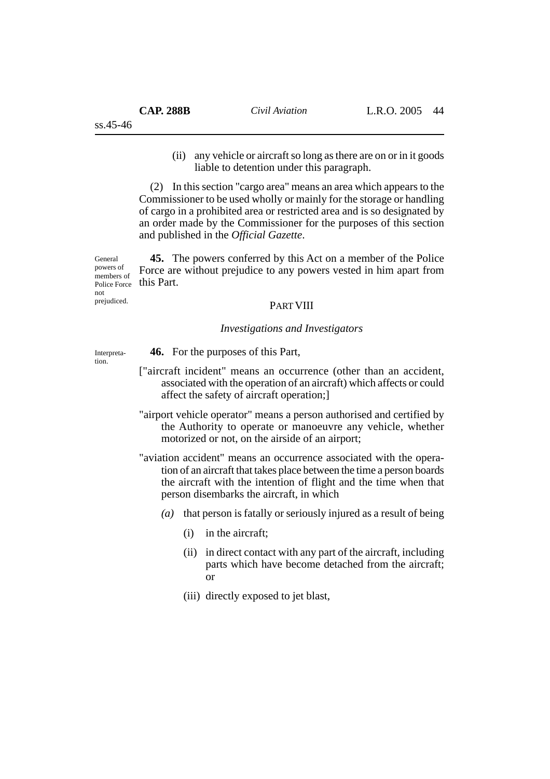(ii) any vehicle or aircraft so long as there are on or in it goods liable to detention under this paragraph.

(2) In this section "cargo area" means an area which appears to the Commissioner to be used wholly or mainly for the storage or handling of cargo in a prohibited area or restricted area and is so designated by an order made by the Commissioner for the purposes of this section and published in the *Official Gazette*.

**45.** The powers conferred by this Act on a member of the Police Force are without prejudice to any powers vested in him apart from this Part. powers of members of Police Force

#### PART VIII

## *Investigations and Investigators*

Interpretation.

General

not prejudiced.

- **46.** For the purposes of this Part,
- ["aircraft incident" means an occurrence (other than an accident, associated with the operation of an aircraft) which affects or could affect the safety of aircraft operation;]
- "airport vehicle operator" means a person authorised and certified by the Authority to operate or manoeuvre any vehicle, whether motorized or not, on the airside of an airport;

"aviation accident" means an occurrence associated with the operation of an aircraft that takes place between the time a person boards the aircraft with the intention of flight and the time when that person disembarks the aircraft, in which

- *(a)* that person is fatally or seriously injured as a result of being
	- (i) in the aircraft;
	- (ii) in direct contact with any part of the aircraft, including parts which have become detached from the aircraft; or
	- (iii) directly exposed to jet blast,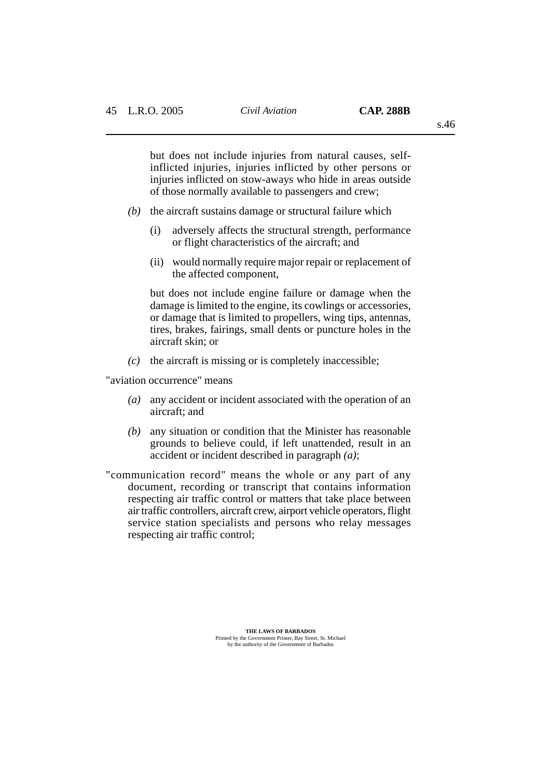but does not include injuries from natural causes, selfinflicted injuries, injuries inflicted by other persons or injuries inflicted on stow-aways who hide in areas outside of those normally available to passengers and crew;

- *(b)* the aircraft sustains damage or structural failure which
	- (i) adversely affects the structural strength, performance or flight characteristics of the aircraft; and
	- (ii) would normally require major repair or replacement of the affected component,

but does not include engine failure or damage when the damage is limited to the engine, its cowlings or accessories, or damage that is limited to propellers, wing tips, antennas, tires, brakes, fairings, small dents or puncture holes in the aircraft skin; or

*(c)* the aircraft is missing or is completely inaccessible;

"aviation occurrence" means

- *(a)* any accident or incident associated with the operation of an aircraft; and
- *(b)* any situation or condition that the Minister has reasonable grounds to believe could, if left unattended, result in an accident or incident described in paragraph *(a)*;
- "communication record" means the whole or any part of any document, recording or transcript that contains information respecting air traffic control or matters that take place between air traffic controllers, aircraft crew, airport vehicle operators, flight service station specialists and persons who relay messages respecting air traffic control;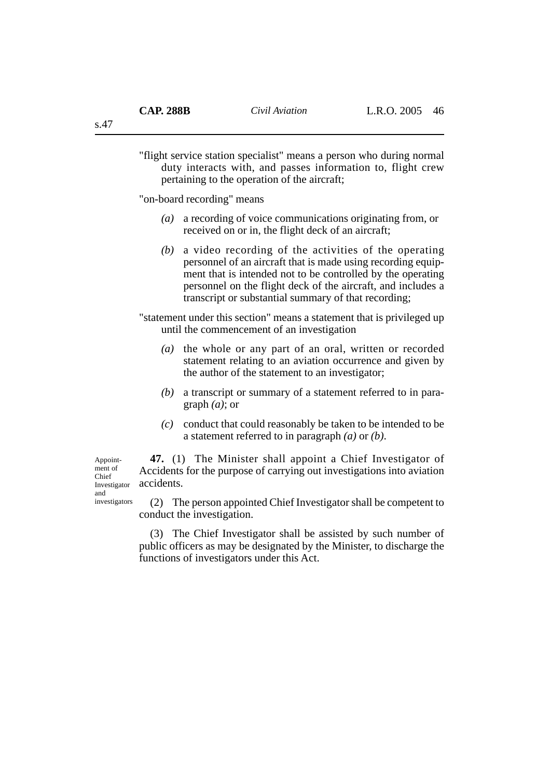"flight service station specialist" means a person who during normal duty interacts with, and passes information to, flight crew pertaining to the operation of the aircraft;

"on-board recording" means

- *(a)* a recording of voice communications originating from, or received on or in, the flight deck of an aircraft;
- *(b)* a video recording of the activities of the operating personnel of an aircraft that is made using recording equipment that is intended not to be controlled by the operating personnel on the flight deck of the aircraft, and includes a transcript or substantial summary of that recording;

"statement under this section" means a statement that is privileged up until the commencement of an investigation

- *(a)* the whole or any part of an oral, written or recorded statement relating to an aviation occurrence and given by the author of the statement to an investigator;
- *(b)* a transcript or summary of a statement referred to in paragraph *(a)*; or
- *(c)* conduct that could reasonably be taken to be intended to be a statement referred to in paragraph *(a)* or *(b)*.

**47.** (1) The Minister shall appoint a Chief Investigator of Accidents for the purpose of carrying out investigations into aviation accidents.

Chief Investigator and investigators

Appointment of

> (2) The person appointed Chief Investigator shall be competent to conduct the investigation.

> (3) The Chief Investigator shall be assisted by such number of public officers as may be designated by the Minister, to discharge the functions of investigators under this Act.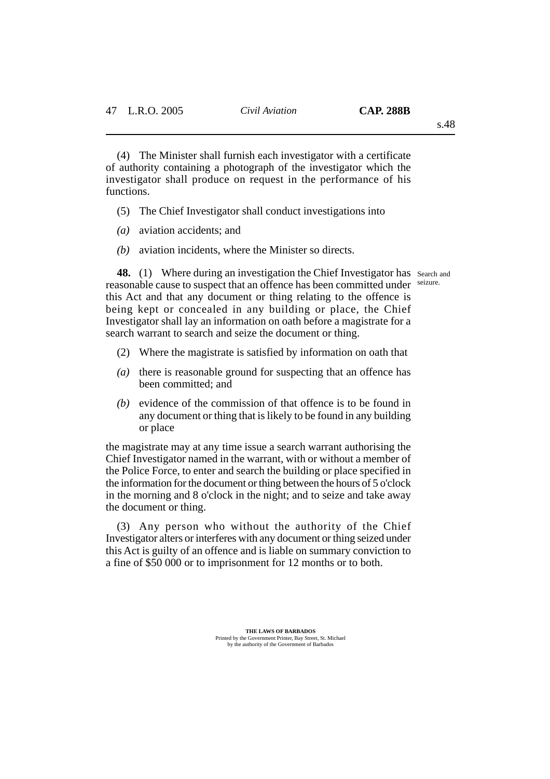(4) The Minister shall furnish each investigator with a certificate of authority containing a photograph of the investigator which the investigator shall produce on request in the performance of his functions.

- (5) The Chief Investigator shall conduct investigations into
- *(a)* aviation accidents; and
- *(b)* aviation incidents, where the Minister so directs.

seizure.

48. (1) Where during an investigation the Chief Investigator has search and reasonable cause to suspect that an offence has been committed under this Act and that any document or thing relating to the offence is being kept or concealed in any building or place, the Chief Investigator shall lay an information on oath before a magistrate for a search warrant to search and seize the document or thing.

- (2) Where the magistrate is satisfied by information on oath that
- *(a)* there is reasonable ground for suspecting that an offence has been committed; and
- *(b)* evidence of the commission of that offence is to be found in any document or thing that is likely to be found in any building or place

the magistrate may at any time issue a search warrant authorising the Chief Investigator named in the warrant, with or without a member of the Police Force, to enter and search the building or place specified in the information for the document or thing between the hours of 5 o'clock in the morning and 8 o'clock in the night; and to seize and take away the document or thing.

(3) Any person who without the authority of the Chief Investigator alters or interferes with any document or thing seized under this Act is guilty of an offence and is liable on summary conviction to a fine of \$50 000 or to imprisonment for 12 months or to both.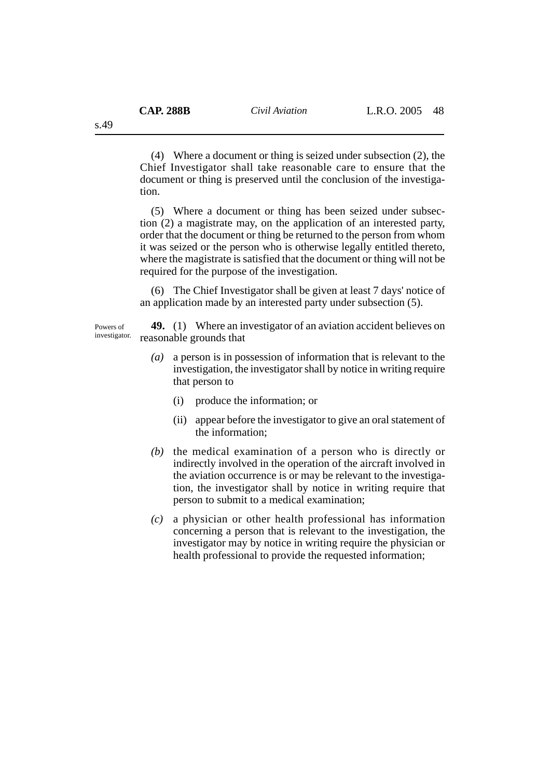(4) Where a document or thing is seized under subsection (2), the Chief Investigator shall take reasonable care to ensure that the document or thing is preserved until the conclusion of the investigation.

(5) Where a document or thing has been seized under subsection (2) a magistrate may, on the application of an interested party, order that the document or thing be returned to the person from whom it was seized or the person who is otherwise legally entitled thereto, where the magistrate is satisfied that the document or thing will not be required for the purpose of the investigation.

(6) The Chief Investigator shall be given at least 7 days' notice of an application made by an interested party under subsection (5).

**49.** (1) Where an investigator of an aviation accident believes on reasonable grounds that Powers of investigator.

- *(a)* a person is in possession of information that is relevant to the investigation, the investigator shall by notice in writing require that person to
	- (i) produce the information; or
	- (ii) appear before the investigator to give an oral statement of the information;
- *(b)* the medical examination of a person who is directly or indirectly involved in the operation of the aircraft involved in the aviation occurrence is or may be relevant to the investigation, the investigator shall by notice in writing require that person to submit to a medical examination;
- *(c)* a physician or other health professional has information concerning a person that is relevant to the investigation, the investigator may by notice in writing require the physician or health professional to provide the requested information;

s.49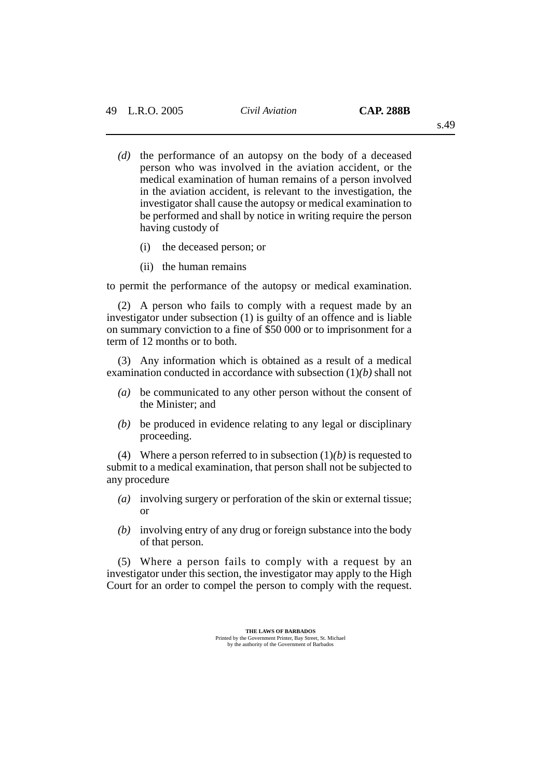- *(d)* the performance of an autopsy on the body of a deceased person who was involved in the aviation accident, or the medical examination of human remains of a person involved in the aviation accident, is relevant to the investigation, the investigator shall cause the autopsy or medical examination to be performed and shall by notice in writing require the person
	- (i) the deceased person; or
	- (ii) the human remains

having custody of

to permit the performance of the autopsy or medical examination.

(2) A person who fails to comply with a request made by an investigator under subsection (1) is guilty of an offence and is liable on summary conviction to a fine of \$50 000 or to imprisonment for a term of 12 months or to both.

(3) Any information which is obtained as a result of a medical examination conducted in accordance with subsection (1)*(b)* shall not

- *(a)* be communicated to any other person without the consent of the Minister; and
- *(b)* be produced in evidence relating to any legal or disciplinary proceeding.

(4) Where a person referred to in subsection (1)*(b)* is requested to submit to a medical examination, that person shall not be subjected to any procedure

- *(a)* involving surgery or perforation of the skin or external tissue; or
- *(b)* involving entry of any drug or foreign substance into the body of that person.

(5) Where a person fails to comply with a request by an investigator under this section, the investigator may apply to the High Court for an order to compel the person to comply with the request.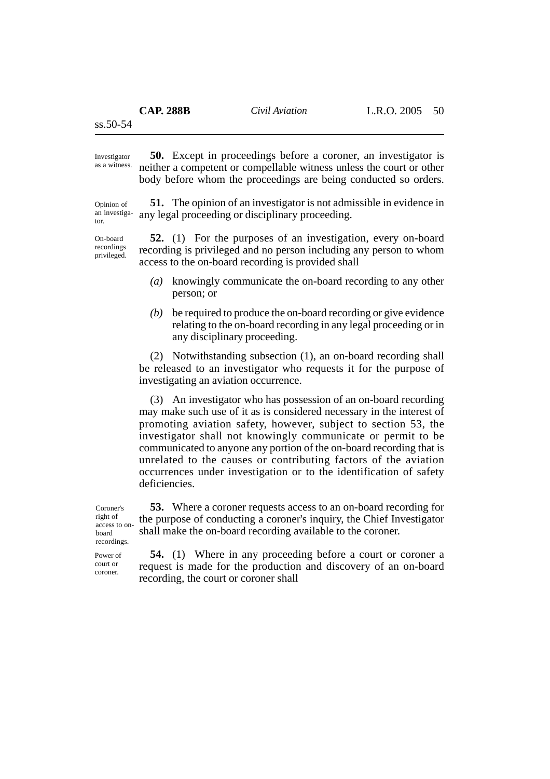ss.50-54

Investigator

**50.** Except in proceedings before a coroner, an investigator is neither a competent or compellable witness unless the court or other body before whom the proceedings are being conducted so orders. as a witness.

Opinion of an investigator.

On-board recordings privileged.

**51.** The opinion of an investigator is not admissible in evidence in any legal proceeding or disciplinary proceeding.

**52.** (1) For the purposes of an investigation, every on-board recording is privileged and no person including any person to whom access to the on-board recording is provided shall

- *(a)* knowingly communicate the on-board recording to any other person; or
- *(b)* be required to produce the on-board recording or give evidence relating to the on-board recording in any legal proceeding or in any disciplinary proceeding.

(2) Notwithstanding subsection (1), an on-board recording shall be released to an investigator who requests it for the purpose of investigating an aviation occurrence.

(3) An investigator who has possession of an on-board recording may make such use of it as is considered necessary in the interest of promoting aviation safety, however, subject to section 53, the investigator shall not knowingly communicate or permit to be communicated to anyone any portion of the on-board recording that is unrelated to the causes or contributing factors of the aviation occurrences under investigation or to the identification of safety deficiencies.

**53.** Where a coroner requests access to an on-board recording for the purpose of conducting a coroner's inquiry, the Chief Investigator shall make the on-board recording available to the coroner.

Coroner's right of access to onboard recordings.

> **54.** (1) Where in any proceeding before a court or coroner a request is made for the production and discovery of an on-board recording, the court or coroner shall

Power of court or

coroner.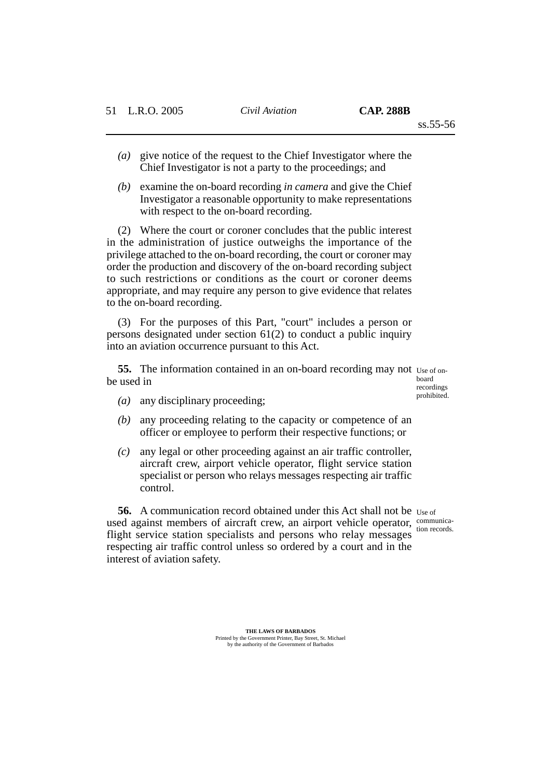- *(a)* give notice of the request to the Chief Investigator where the Chief Investigator is not a party to the proceedings; and
- *(b)* examine the on-board recording *in camera* and give the Chief Investigator a reasonable opportunity to make representations with respect to the on-board recording.

(2) Where the court or coroner concludes that the public interest in the administration of justice outweighs the importance of the privilege attached to the on-board recording, the court or coroner may order the production and discovery of the on-board recording subject to such restrictions or conditions as the court or coroner deems appropriate, and may require any person to give evidence that relates to the on-board recording.

(3) For the purposes of this Part, "court" includes a person or persons designated under section 61(2) to conduct a public inquiry into an aviation occurrence pursuant to this Act.

**55.** The information contained in an on-board recording may not use of onbe used in

board recordings prohibited.

- *(a)* any disciplinary proceeding;
- *(b)* any proceeding relating to the capacity or competence of an officer or employee to perform their respective functions; or
- *(c)* any legal or other proceeding against an air traffic controller, aircraft crew, airport vehicle operator, flight service station specialist or person who relays messages respecting air traffic control.

**56.** A communication record obtained under this Act shall not be Use of used against members of aircraft crew, an airport vehicle operator, communicaflight service station specialists and persons who relay messages respecting air traffic control unless so ordered by a court and in the interest of aviation safety. tion records.

> **THE LAWS OF BARBADOS** Printed by the Government Printer, Bay Street, St. Michael by the authority of the Government of Barbados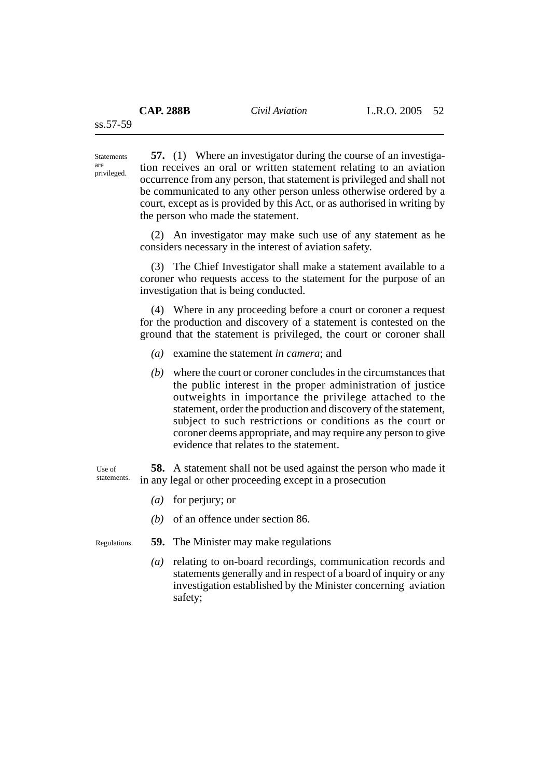Statements are privileged.

**57.** (1) Where an investigator during the course of an investigation receives an oral or written statement relating to an aviation occurrence from any person, that statement is privileged and shall not be communicated to any other person unless otherwise ordered by a court, except as is provided by this Act, or as authorised in writing by the person who made the statement.

(2) An investigator may make such use of any statement as he considers necessary in the interest of aviation safety.

(3) The Chief Investigator shall make a statement available to a coroner who requests access to the statement for the purpose of an investigation that is being conducted.

(4) Where in any proceeding before a court or coroner a request for the production and discovery of a statement is contested on the ground that the statement is privileged, the court or coroner shall

- *(a)* examine the statement *in camera*; and
- *(b)* where the court or coroner concludes in the circumstances that the public interest in the proper administration of justice outweights in importance the privilege attached to the statement, order the production and discovery of the statement, subject to such restrictions or conditions as the court or coroner deems appropriate, and may require any person to give evidence that relates to the statement.

**58.** A statement shall not be used against the person who made it in any legal or other proceeding except in a prosecution

- *(a)* for perjury; or
- *(b)* of an offence under section 86.

Regulations.

Use of statements.

- **59.** The Minister may make regulations
	- *(a)* relating to on-board recordings, communication records and statements generally and in respect of a board of inquiry or any investigation established by the Minister concerning aviation safety;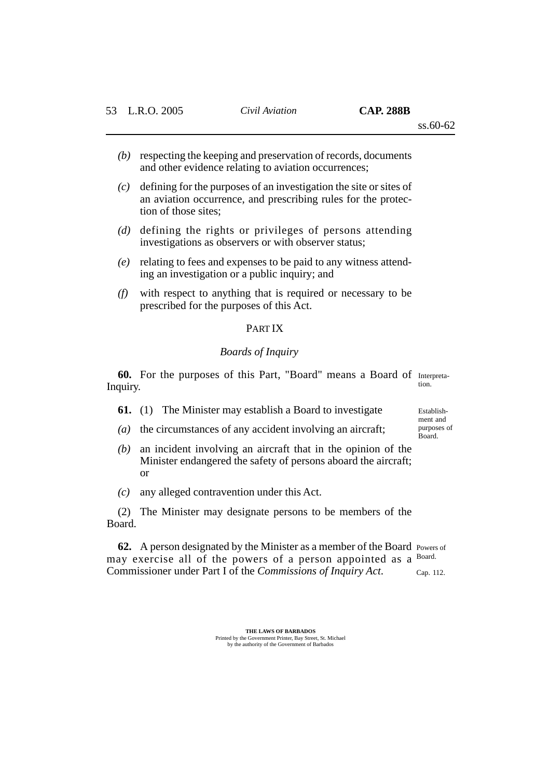- *(b)* respecting the keeping and preservation of records, documents and other evidence relating to aviation occurrences;
- *(c)* defining for the purposes of an investigation the site or sites of an aviation occurrence, and prescribing rules for the protection of those sites:
- *(d)* defining the rights or privileges of persons attending investigations as observers or with observer status;
- *(e)* relating to fees and expenses to be paid to any witness attending an investigation or a public inquiry; and
- *(f)* with respect to anything that is required or necessary to be prescribed for the purposes of this Act.

## PART IX

## *Boards of Inquiry*

**60.** For the purposes of this Part, "Board" means a Board of Interpreta-Inquiry. tion.

Establish-

ment and purposes of Board.

- **61.** (1) The Minister may establish a Board to investigate
- *(a)* the circumstances of any accident involving an aircraft;
- *(b)* an incident involving an aircraft that in the opinion of the Minister endangered the safety of persons aboard the aircraft; or
- *(c)* any alleged contravention under this Act.

(2) The Minister may designate persons to be members of the Board.

**62.** A person designated by the Minister as a member of the Board Powers of may exercise all of the powers of a person appointed as a Board. Commissioner under Part I of the *Commissions of Inquiry Act*. Cap. 112.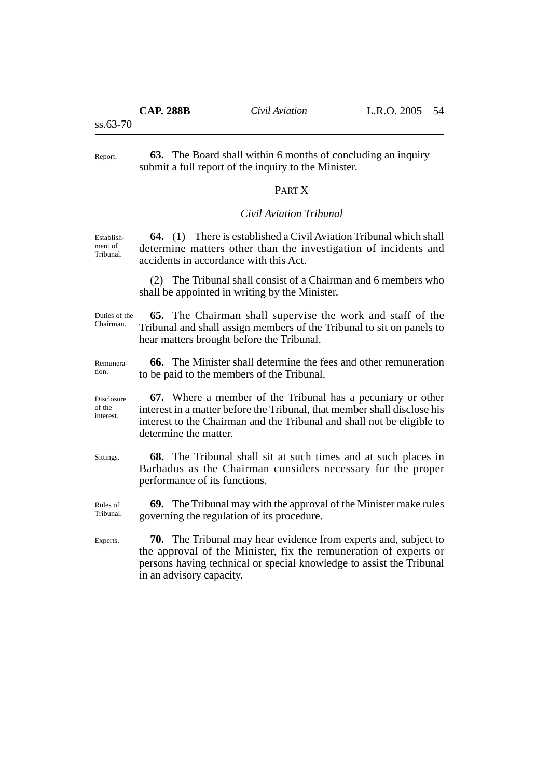ss.63-70

**63.** The Board shall within 6 months of concluding an inquiry submit a full report of the inquiry to the Minister. Report.

# PART X

### *Civil Aviation Tribunal*

**64.** (1) There is established a Civil Aviation Tribunal which shall determine matters other than the investigation of incidents and accidents in accordance with this Act. Establishment of Tribunal.

> (2) The Tribunal shall consist of a Chairman and 6 members who shall be appointed in writing by the Minister.

Duties of the Chairman.

**65.** The Chairman shall supervise the work and staff of the Tribunal and shall assign members of the Tribunal to sit on panels to hear matters brought before the Tribunal.

Remuneration.

**66.** The Minister shall determine the fees and other remuneration to be paid to the members of the Tribunal.

**67.** Where a member of the Tribunal has a pecuniary or other interest in a matter before the Tribunal, that member shall disclose his interest to the Chairman and the Tribunal and shall not be eligible to determine the matter. Disclosure

Sittings.

of the interest.

> **68.** The Tribunal shall sit at such times and at such places in Barbados as the Chairman considers necessary for the proper performance of its functions.

**69.** The Tribunal may with the approval of the Minister make rules governing the regulation of its procedure. Rules of Tribunal.

**70.** The Tribunal may hear evidence from experts and, subject to the approval of the Minister, fix the remuneration of experts or persons having technical or special knowledge to assist the Tribunal in an advisory capacity. Experts.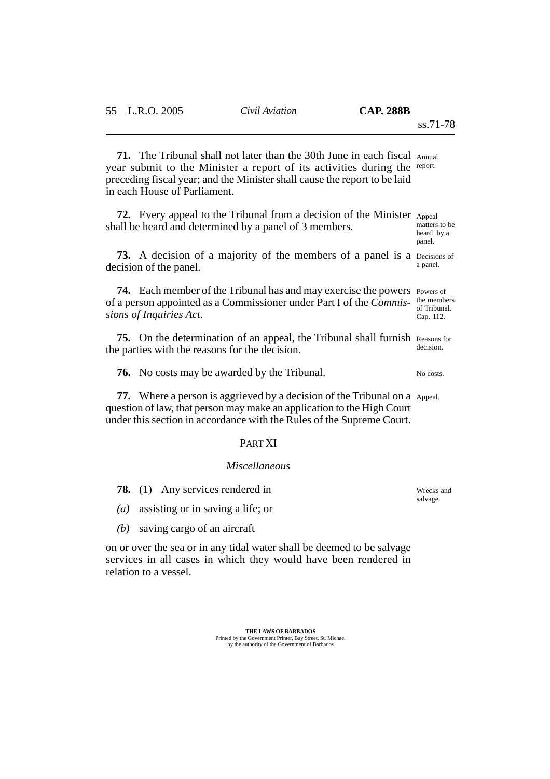panel.

**71.** The Tribunal shall not later than the 30th June in each fiscal Annual year submit to the Minister a report of its activities during the report. preceding fiscal year; and the Minister shall cause the report to be laid in each House of Parliament.

**72.** Every appeal to the Tribunal from a decision of the Minister Appeal shall be heard and determined by a panel of 3 members. matters to be heard by a

**73.** A decision of a majority of the members of a panel is a Decisions of decision of the panel. a panel.

**74.** Each member of the Tribunal has and may exercise the powers Powers of of a person appointed as a Commissioner under Part I of the *Commis-*the members *sions of Inquiries Act.* of Tribunal. Cap. 112.

**75.** On the determination of an appeal, the Tribunal shall furnish Reasons for the parties with the reasons for the decision. decision.

**76.** No costs may be awarded by the Tribunal. No costs.

**77.** Where a person is aggrieved by a decision of the Tribunal on a Appeal. question of law, that person may make an application to the High Court under this section in accordance with the Rules of the Supreme Court.

### PART XI

#### *Miscellaneous*

**78.** (1) Any services rendered in

- *(a)* assisting or in saving a life; or
- *(b)* saving cargo of an aircraft

on or over the sea or in any tidal water shall be deemed to be salvage services in all cases in which they would have been rendered in relation to a vessel.

> **THE LAWS OF BARBADOS** Printed by the Government Printer, Bay Street, St. Michael by the authority of the Government of Barbados

Wrecks and salvage.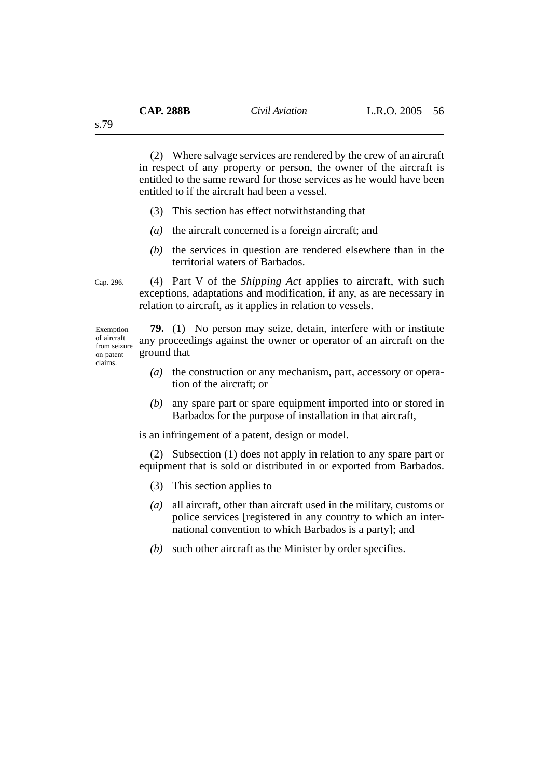(2) Where salvage services are rendered by the crew of an aircraft in respect of any property or person, the owner of the aircraft is entitled to the same reward for those services as he would have been entitled to if the aircraft had been a vessel.

- (3) This section has effect notwithstanding that
- *(a)* the aircraft concerned is a foreign aircraft; and
- *(b)* the services in question are rendered elsewhere than in the territorial waters of Barbados.

Cap. 296.

(4) Part V of the *Shipping Act* applies to aircraft, with such exceptions, adaptations and modification, if any, as are necessary in relation to aircraft, as it applies in relation to vessels.

Exemption of aircraft from seizure on patent claims.

**79.** (1) No person may seize, detain, interfere with or institute any proceedings against the owner or operator of an aircraft on the ground that

- *(a)* the construction or any mechanism, part, accessory or operation of the aircraft; or
- *(b)* any spare part or spare equipment imported into or stored in Barbados for the purpose of installation in that aircraft,

is an infringement of a patent, design or model.

(2) Subsection (1) does not apply in relation to any spare part or equipment that is sold or distributed in or exported from Barbados.

- (3) This section applies to
- *(a)* all aircraft, other than aircraft used in the military, customs or police services [registered in any country to which an international convention to which Barbados is a party]; and
- *(b)* such other aircraft as the Minister by order specifies.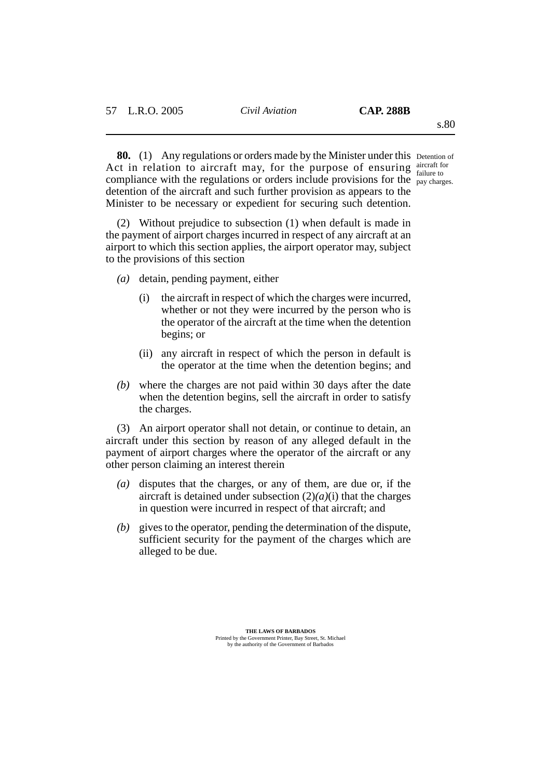**80.** (1) Any regulations or orders made by the Minister under this Detention of Act in relation to aircraft may, for the purpose of ensuring  $\frac{\text{aircraft for}}{\text{failure to}}$ compliance with the regulations or orders include provisions for the  $_{\text{pay charges}}^{\text{randic to}}$ detention of the aircraft and such further provision as appears to the Minister to be necessary or expedient for securing such detention. failure to

(2) Without prejudice to subsection (1) when default is made in the payment of airport charges incurred in respect of any aircraft at an airport to which this section applies, the airport operator may, subject to the provisions of this section

- *(a)* detain, pending payment, either
	- (i) the aircraft in respect of which the charges were incurred, whether or not they were incurred by the person who is the operator of the aircraft at the time when the detention begins; or
	- (ii) any aircraft in respect of which the person in default is the operator at the time when the detention begins; and
- *(b)* where the charges are not paid within 30 days after the date when the detention begins, sell the aircraft in order to satisfy the charges.

(3) An airport operator shall not detain, or continue to detain, an aircraft under this section by reason of any alleged default in the payment of airport charges where the operator of the aircraft or any other person claiming an interest therein

- *(a)* disputes that the charges, or any of them, are due or, if the aircraft is detained under subsection (2)*(a)*(i) that the charges in question were incurred in respect of that aircraft; and
- *(b)* gives to the operator, pending the determination of the dispute, sufficient security for the payment of the charges which are alleged to be due.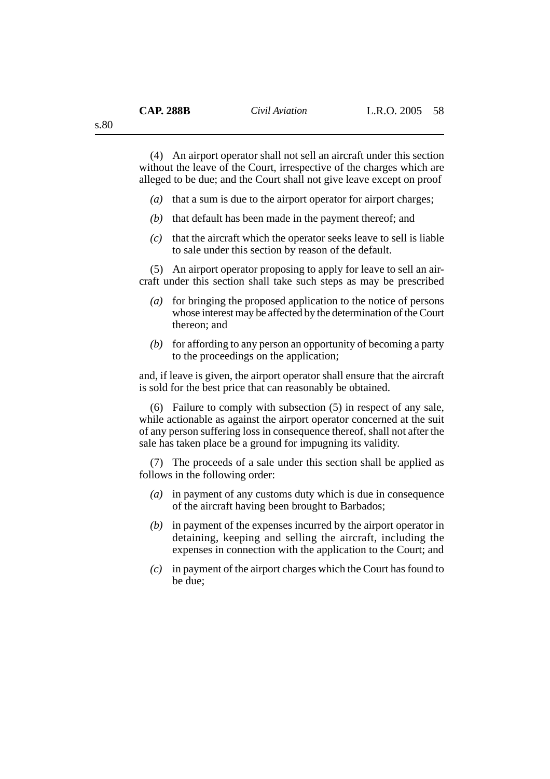(4) An airport operator shall not sell an aircraft under this section without the leave of the Court, irrespective of the charges which are alleged to be due; and the Court shall not give leave except on proof

- *(a)* that a sum is due to the airport operator for airport charges;
- *(b)* that default has been made in the payment thereof; and
- *(c)* that the aircraft which the operator seeks leave to sell is liable to sale under this section by reason of the default.

(5) An airport operator proposing to apply for leave to sell an aircraft under this section shall take such steps as may be prescribed

- *(a)* for bringing the proposed application to the notice of persons whose interest may be affected by the determination of the Court thereon; and
- *(b)* for affording to any person an opportunity of becoming a party to the proceedings on the application;

and, if leave is given, the airport operator shall ensure that the aircraft is sold for the best price that can reasonably be obtained.

(6) Failure to comply with subsection (5) in respect of any sale, while actionable as against the airport operator concerned at the suit of any person suffering loss in consequence thereof, shall not after the sale has taken place be a ground for impugning its validity.

(7) The proceeds of a sale under this section shall be applied as follows in the following order:

- *(a)* in payment of any customs duty which is due in consequence of the aircraft having been brought to Barbados;
- *(b)* in payment of the expenses incurred by the airport operator in detaining, keeping and selling the aircraft, including the expenses in connection with the application to the Court; and
- *(c)* in payment of the airport charges which the Court has found to be due;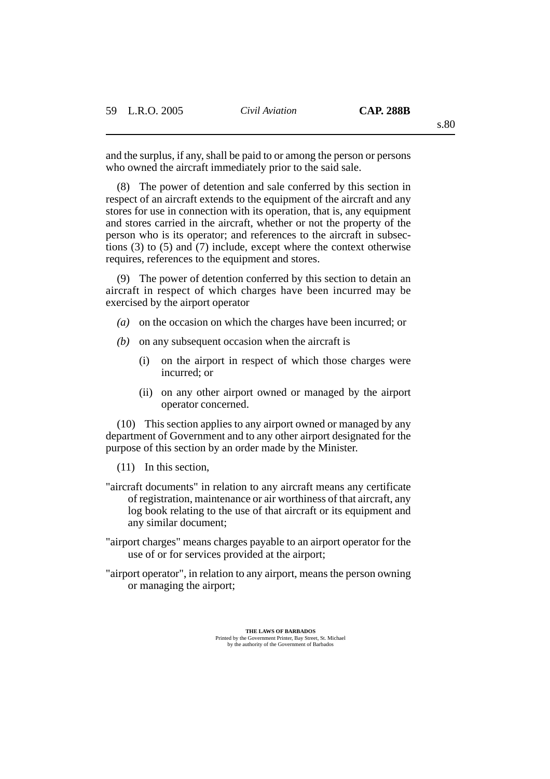s.80

and the surplus, if any, shall be paid to or among the person or persons who owned the aircraft immediately prior to the said sale.

(8) The power of detention and sale conferred by this section in respect of an aircraft extends to the equipment of the aircraft and any stores for use in connection with its operation, that is, any equipment and stores carried in the aircraft, whether or not the property of the person who is its operator; and references to the aircraft in subsections (3) to (5) and (7) include, except where the context otherwise requires, references to the equipment and stores.

(9) The power of detention conferred by this section to detain an aircraft in respect of which charges have been incurred may be exercised by the airport operator

- *(a)* on the occasion on which the charges have been incurred; or
- *(b)* on any subsequent occasion when the aircraft is
	- (i) on the airport in respect of which those charges were incurred; or
	- (ii) on any other airport owned or managed by the airport operator concerned.

(10) This section applies to any airport owned or managed by any department of Government and to any other airport designated for the purpose of this section by an order made by the Minister.

(11) In this section,

- "aircraft documents" in relation to any aircraft means any certificate of registration, maintenance or air worthiness of that aircraft, any log book relating to the use of that aircraft or its equipment and any similar document;
- "airport charges" means charges payable to an airport operator for the use of or for services provided at the airport;
- "airport operator", in relation to any airport, means the person owning or managing the airport;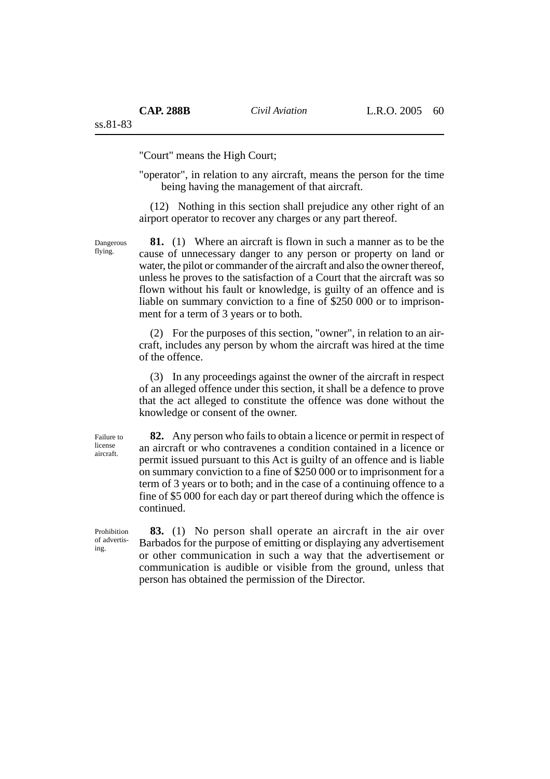"Court" means the High Court;

"operator", in relation to any aircraft, means the person for the time being having the management of that aircraft.

(12) Nothing in this section shall prejudice any other right of an airport operator to recover any charges or any part thereof.

**81.** (1) Where an aircraft is flown in such a manner as to be the cause of unnecessary danger to any person or property on land or water, the pilot or commander of the aircraft and also the owner thereof, unless he proves to the satisfaction of a Court that the aircraft was so flown without his fault or knowledge, is guilty of an offence and is liable on summary conviction to a fine of \$250 000 or to imprisonment for a term of 3 years or to both.

(2) For the purposes of this section, "owner", in relation to an aircraft, includes any person by whom the aircraft was hired at the time of the offence.

(3) In any proceedings against the owner of the aircraft in respect of an alleged offence under this section, it shall be a defence to prove that the act alleged to constitute the offence was done without the knowledge or consent of the owner.

Failure to license aircraft.

Dangerous flying.

> **82.** Any person who fails to obtain a licence or permit in respect of an aircraft or who contravenes a condition contained in a licence or permit issued pursuant to this Act is guilty of an offence and is liable on summary conviction to a fine of \$250 000 or to imprisonment for a term of 3 years or to both; and in the case of a continuing offence to a fine of \$5 000 for each day or part thereof during which the offence is continued.

Prohibition of advertising.

**83.** (1) No person shall operate an aircraft in the air over Barbados for the purpose of emitting or displaying any advertisement or other communication in such a way that the advertisement or communication is audible or visible from the ground, unless that person has obtained the permission of the Director.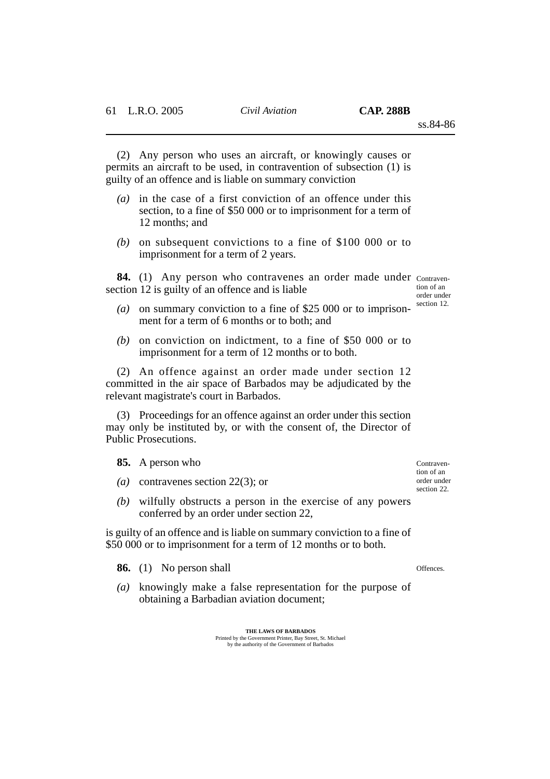(2) Any person who uses an aircraft, or knowingly causes or permits an aircraft to be used, in contravention of subsection (1) is guilty of an offence and is liable on summary conviction

- *(a)* in the case of a first conviction of an offence under this section, to a fine of \$50 000 or to imprisonment for a term of 12 months; and
- *(b)* on subsequent convictions to a fine of \$100 000 or to imprisonment for a term of 2 years.

84. (1) Any person who contravenes an order made under contravensection 12 is guilty of an offence and is liable

tion of an order under section 12.

- *(a)* on summary conviction to a fine of \$25 000 or to imprisonment for a term of 6 months or to both; and
- *(b)* on conviction on indictment, to a fine of \$50 000 or to imprisonment for a term of 12 months or to both.

(2) An offence against an order made under section 12 committed in the air space of Barbados may be adjudicated by the relevant magistrate's court in Barbados.

(3) Proceedings for an offence against an order under this section may only be instituted by, or with the consent of, the Director of Public Prosecutions.

**85.** A person who

- *(a)* contravenes section 22(3); or
- *(b)* wilfully obstructs a person in the exercise of any powers conferred by an order under section 22,

is guilty of an offence and is liable on summary conviction to a fine of \$50,000 or to imprisonment for a term of 12 months or to both.

**86.** (1) No person shall

*(a)* knowingly make a false representation for the purpose of obtaining a Barbadian aviation document;

> **THE LAWS OF BARBADOS** Printed by the Government Printer, Bay Street, St. Michael by the authority of the Government of Barbados

Offences.

Contravention of an order under section 22.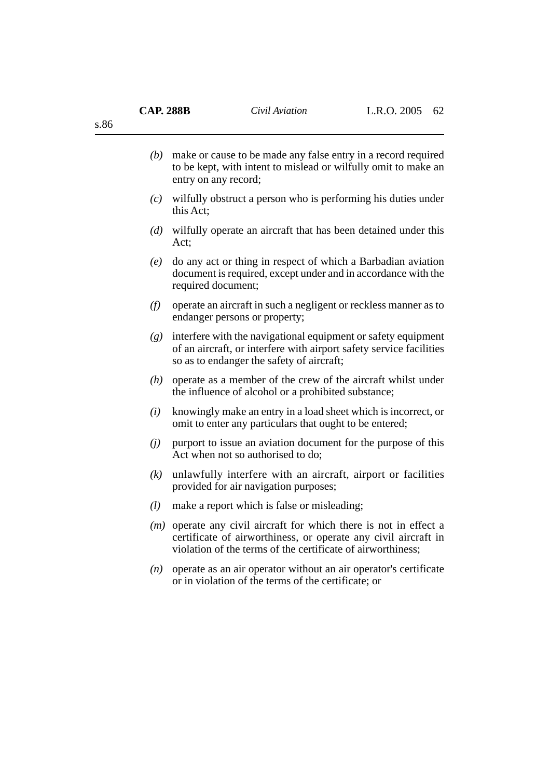s.86

| (b) | make or cause to be made any false entry in a record required<br>to be kept, with intent to mislead or wilfully omit to make an |
|-----|---------------------------------------------------------------------------------------------------------------------------------|
|     | entry on any record;                                                                                                            |

- *(c)* wilfully obstruct a person who is performing his duties under this Act;
- *(d)* wilfully operate an aircraft that has been detained under this Act;
- *(e)* do any act or thing in respect of which a Barbadian aviation document is required, except under and in accordance with the required document;
- *(f)* operate an aircraft in such a negligent or reckless manner as to endanger persons or property;
- *(g)* interfere with the navigational equipment or safety equipment of an aircraft, or interfere with airport safety service facilities so as to endanger the safety of aircraft;
- *(h)* operate as a member of the crew of the aircraft whilst under the influence of alcohol or a prohibited substance;
- *(i)* knowingly make an entry in a load sheet which is incorrect, or omit to enter any particulars that ought to be entered;
- *(j)* purport to issue an aviation document for the purpose of this Act when not so authorised to do;
- *(k)* unlawfully interfere with an aircraft, airport or facilities provided for air navigation purposes;
- *(l)* make a report which is false or misleading;
- *(m)* operate any civil aircraft for which there is not in effect a certificate of airworthiness, or operate any civil aircraft in violation of the terms of the certificate of airworthiness;
- *(n)* operate as an air operator without an air operator's certificate or in violation of the terms of the certificate; or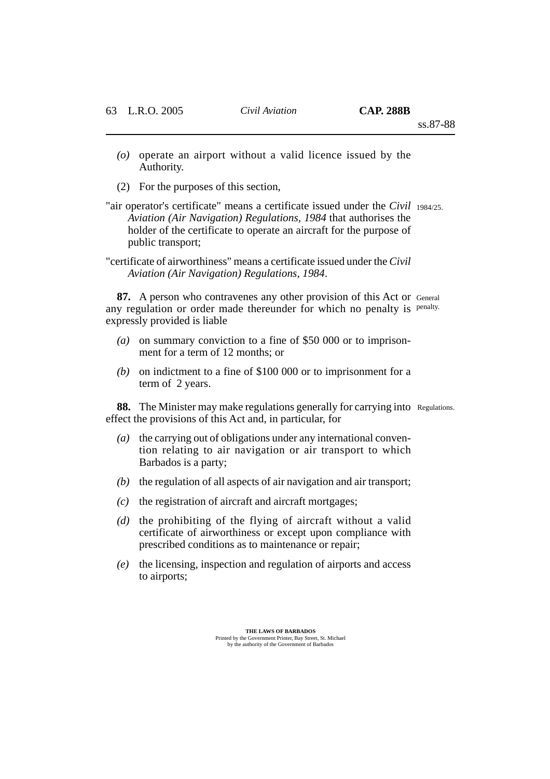- *(o)* operate an airport without a valid licence issued by the Authority.
- (2) For the purposes of this section,
- "air operator's certificate" means a certificate issued under the *Civil* 1984/25. *Aviation (Air Navigation) Regulations, 1984* that authorises the holder of the certificate to operate an aircraft for the purpose of public transport;
- "certificate of airworthiness" means a certificate issued under the *Civil Aviation (Air Navigation) Regulations, 1984*.

**87.** A person who contravenes any other provision of this Act or General any regulation or order made thereunder for which no penalty is penalty. expressly provided is liable

- *(a)* on summary conviction to a fine of \$50 000 or to imprisonment for a term of 12 months; or
- *(b)* on indictment to a fine of \$100 000 or to imprisonment for a term of 2 years.

**88.** The Minister may make regulations generally for carrying into Regulations. effect the provisions of this Act and, in particular, for

- *(a)* the carrying out of obligations under any international convention relating to air navigation or air transport to which Barbados is a party;
- *(b)* the regulation of all aspects of air navigation and air transport;
- *(c)* the registration of aircraft and aircraft mortgages;
- *(d)* the prohibiting of the flying of aircraft without a valid certificate of airworthiness or except upon compliance with prescribed conditions as to maintenance or repair;
- *(e)* the licensing, inspection and regulation of airports and access to airports;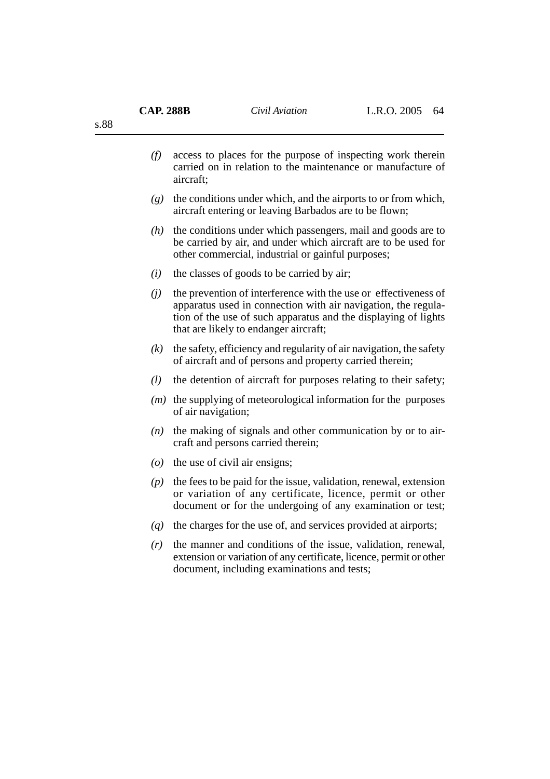| (f) | access to places for the purpose of inspecting work therein<br>carried on in relation to the maintenance or manufacture of<br>aircraft;                                                                                                     |
|-----|---------------------------------------------------------------------------------------------------------------------------------------------------------------------------------------------------------------------------------------------|
| (g) | the conditions under which, and the airports to or from which,<br>aircraft entering or leaving Barbados are to be flown;                                                                                                                    |
| (h) | the conditions under which passengers, mail and goods are to<br>be carried by air, and under which aircraft are to be used for<br>other commercial, industrial or gainful purposes;                                                         |
| (i) | the classes of goods to be carried by air;                                                                                                                                                                                                  |
| (j) | the prevention of interference with the use or effectiveness of<br>apparatus used in connection with air navigation, the regula-<br>tion of the use of such apparatus and the displaying of lights<br>that are likely to endanger aircraft; |
| (k) | the safety, efficiency and regularity of air navigation, the safety<br>of aircraft and of persons and property carried therein;                                                                                                             |
| (l) | the detention of aircraft for purposes relating to their safety;                                                                                                                                                                            |
| (m) | the supplying of meteorological information for the purposes<br>of air navigation;                                                                                                                                                          |
| (n) | the making of signals and other communication by or to air-<br>craft and persons carried therein;                                                                                                                                           |
|     | ( $o$ ) the use of civil air ensigns;                                                                                                                                                                                                       |
| (p) | the fees to be paid for the issue, validation, renewal, extension<br>or variation of any certificate, licence, permit or other<br>document or for the undergoing of any examination or test;                                                |
| (q) | the charges for the use of, and services provided at airports;                                                                                                                                                                              |
| (r) | the manner and conditions of the issue, validation, renewal,<br>extension or variation of any certificate, licence, permit or other                                                                                                         |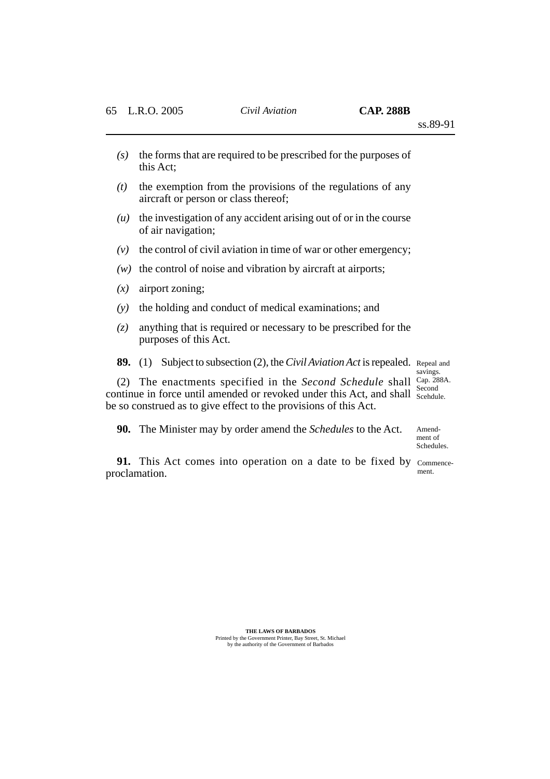- *(s)* the forms that are required to be prescribed for the purposes of this Act;
- *(t)* the exemption from the provisions of the regulations of any aircraft or person or class thereof;
- *(u)* the investigation of any accident arising out of or in the course of air navigation;
- *(v)* the control of civil aviation in time of war or other emergency;
- *(w)* the control of noise and vibration by aircraft at airports;
- *(x)* airport zoning;
- *(y)* the holding and conduct of medical examinations; and
- *(z)* anything that is required or necessary to be prescribed for the purposes of this Act.

**89.** (1) Subject to subsection (2), the *Civil Aviation Act* is repealed. Repeal and

savings. Second

(2) The enactments specified in the *Second Schedule* shall Cap. 288A. continue in force until amended or revoked under this Act, and shall Scehdule. be so construed as to give effect to the provisions of this Act.

**90.** The Minister may by order amend the *Schedules* to the Act.

Amendment of Schedules.

**91.** This Act comes into operation on a date to be fixed by commenceproclamation.

ment.

**THE LAWS OF BARBADOS** Printed by the Government Printer, Bay Street, St. Michael by the authority of the Government of Barbados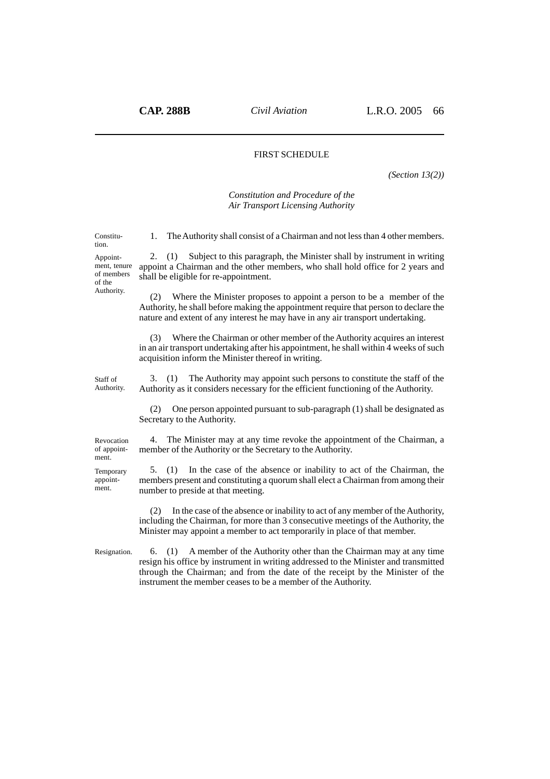## FIRST SCHEDULE

*(Section 13(2))*

#### *Constitution and Procedure of the Air Transport Licensing Authority*

| Constitu-<br>tion.                                             | 1. The Authority shall consist of a Chairman and not less than 4 other members.                                                                                                                                                                                                                                          |
|----------------------------------------------------------------|--------------------------------------------------------------------------------------------------------------------------------------------------------------------------------------------------------------------------------------------------------------------------------------------------------------------------|
| Appoint-<br>ment, tenure<br>of members<br>of the<br>Authority. | Subject to this paragraph, the Minister shall by instrument in writing<br>(1)<br>2.<br>appoint a Chairman and the other members, who shall hold office for 2 years and<br>shall be eligible for re-appointment.                                                                                                          |
|                                                                | Where the Minister proposes to appoint a person to be a member of the<br>(2)<br>Authority, he shall before making the appointment require that person to declare the<br>nature and extent of any interest he may have in any air transport undertaking.                                                                  |
|                                                                | Where the Chairman or other member of the Authority acquires an interest<br>(3)<br>in an air transport undertaking after his appointment, he shall within 4 weeks of such<br>acquisition inform the Minister thereof in writing.                                                                                         |
| Staff of<br>Authority.                                         | The Authority may appoint such persons to constitute the staff of the<br>3.<br>(1)<br>Authority as it considers necessary for the efficient functioning of the Authority.                                                                                                                                                |
|                                                                | One person appointed pursuant to sub-paragraph (1) shall be designated as<br>(2)<br>Secretary to the Authority.                                                                                                                                                                                                          |
| Revocation<br>of appoint-<br>ment.                             | The Minister may at any time revoke the appointment of the Chairman, a<br>4.<br>member of the Authority or the Secretary to the Authority.                                                                                                                                                                               |
| Temporary<br>appoint-<br>ment.                                 | In the case of the absence or inability to act of the Chairman, the<br>5.<br>(1)<br>members present and constituting a quorum shall elect a Chairman from among their<br>number to preside at that meeting.                                                                                                              |
|                                                                | In the case of the absence or inability to act of any member of the Authority,<br>(2)<br>including the Chairman, for more than 3 consecutive meetings of the Authority, the<br>Minister may appoint a member to act temporarily in place of that member.                                                                 |
| Resignation.                                                   | A member of the Authority other than the Chairman may at any time<br>6.<br>(1)<br>resign his office by instrument in writing addressed to the Minister and transmitted<br>through the Chairman; and from the date of the receipt by the Minister of the<br>instrument the member ceases to be a member of the Authority. |
|                                                                |                                                                                                                                                                                                                                                                                                                          |
|                                                                |                                                                                                                                                                                                                                                                                                                          |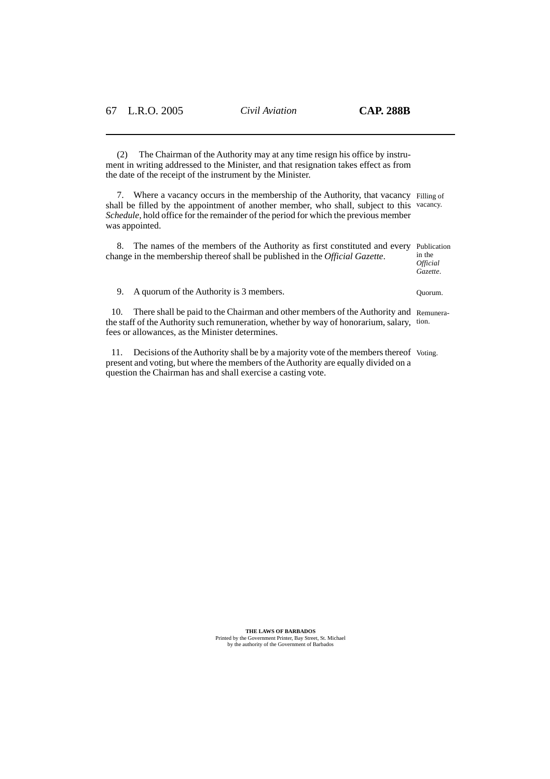(2) The Chairman of the Authority may at any time resign his office by instrument in writing addressed to the Minister, and that resignation takes effect as from the date of the receipt of the instrument by the Minister.

7. Where a vacancy occurs in the membership of the Authority, that vacancy Filling of shall be filled by the appointment of another member, who shall, subject to this vacancy. *Schedule*, hold office for the remainder of the period for which the previous member was appointed.

8. The names of the members of the Authority as first constituted and every Publication change in the membership thereof shall be published in the *Official Gazette*.

in the *Official Gazette*.

9. A quorum of the Authority is 3 members.

10. There shall be paid to the Chairman and other members of the Authority and Remunerathe staff of the Authority such remuneration, whether by way of honorarium, salary, tion. fees or allowances, as the Minister determines.

11. Decisions of the Authority shall be by a majority vote of the members thereof Voting.present and voting, but where the members of the Authority are equally divided on a question the Chairman has and shall exercise a casting vote.

**THE LAWS OF BARBADOS**

Printed by the Government Printer, Bay Street, St. Michael by the authority of the Government of Barbados

Quorum.